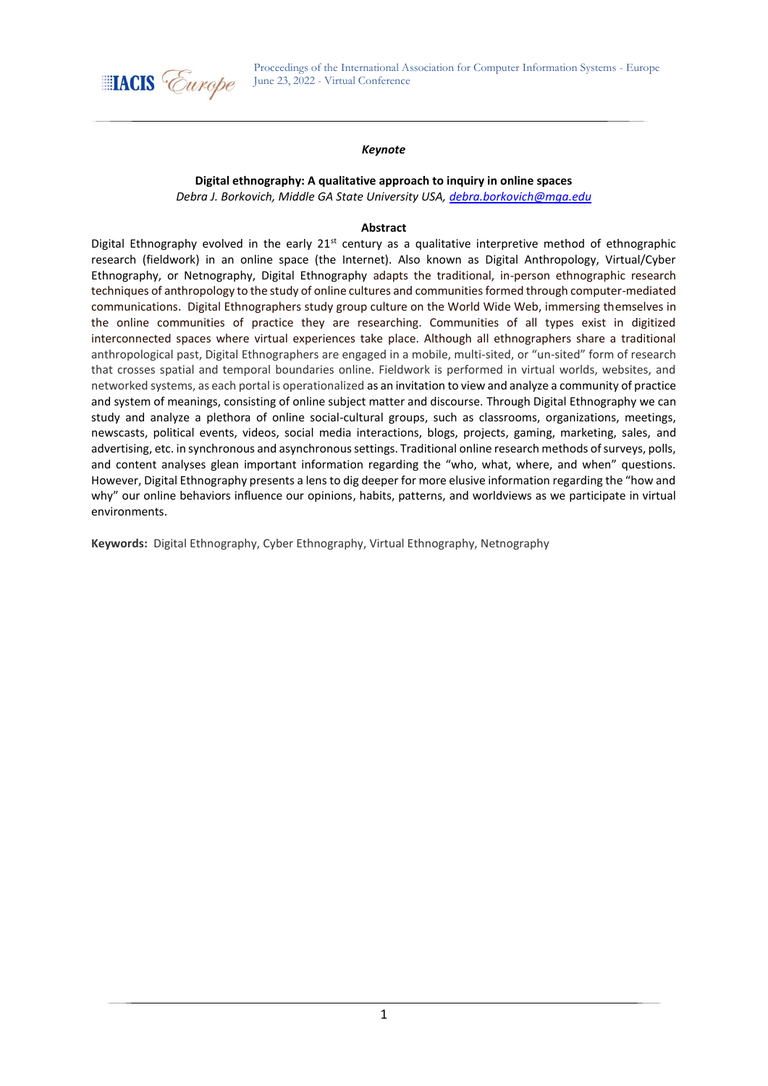

### *Keynote*

# **Digital ethnography: A qualitative approach to inquiry in online spaces**

*Debra J. Borkovich, Middle GA State University USA, [debra.borkovich@mga.edu](mailto:debra.borkovich@mga.edu)*

### **Abstract**

Digital Ethnography evolved in the early  $21^{st}$  century as a qualitative interpretive method of ethnographic research (fieldwork) in an online space (the Internet). Also known as Digital Anthropology, Virtual/Cyber Ethnography, or Netnography, Digital Ethnography adapts the traditional, in-person ethnographic research techniques of anthropology to the study of online cultures and communities formed through computer-mediated communications. Digital Ethnographers study group culture on the World Wide Web, immersing themselves in the online communities of practice they are researching. Communities of all types exist in digitized interconnected spaces where virtual experiences take place. Although all ethnographers share a traditional anthropological past, Digital Ethnographers are engaged in a mobile, multi-sited, or "un-sited" form of research that crosses spatial and temporal boundaries online. Fieldwork is performed in virtual worlds, websites, and networked systems, as each portal is operationalized as an invitation to view and analyze a community of practice and system of meanings, consisting of online subject matter and discourse. Through Digital Ethnography we can study and analyze a plethora of online social-cultural groups, such as classrooms, organizations, meetings, newscasts, political events, videos, social media interactions, blogs, projects, gaming, marketing, sales, and advertising, etc. in synchronous and asynchronous settings. Traditional online research methods of surveys, polls, and content analyses glean important information regarding the "who, what, where, and when" questions. However, Digital Ethnography presents a lens to dig deeper for more elusive information regarding the "how and why" our online behaviors influence our opinions, habits, patterns, and worldviews as we participate in virtual environments.

**Keywords:** Digital Ethnography, Cyber Ethnography, Virtual Ethnography, Netnography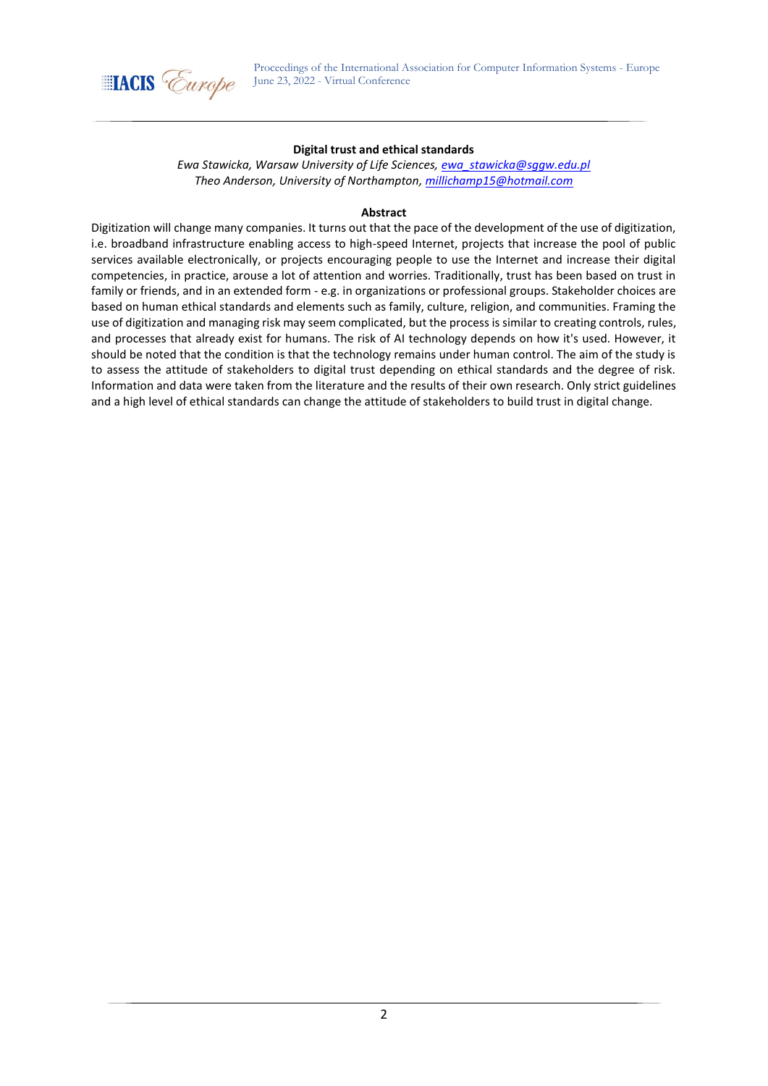

## **Digital trust and ethical standards**

*Ewa Stawicka, Warsaw University of Life Sciences, [ewa\\_stawicka@sggw.edu.pl](mailto:ewa_stawicka@sggw.edu.pl) Theo Anderson, University of Northampton[, millichamp15@hotmail.com](mailto:millichamp15@hotmail.com)*

## **Abstract**

Digitization will change many companies. It turns out that the pace of the development of the use of digitization, i.e. broadband infrastructure enabling access to high-speed Internet, projects that increase the pool of public services available electronically, or projects encouraging people to use the Internet and increase their digital competencies, in practice, arouse a lot of attention and worries. Traditionally, trust has been based on trust in family or friends, and in an extended form - e.g. in organizations or professional groups. Stakeholder choices are based on human ethical standards and elements such as family, culture, religion, and communities. Framing the use of digitization and managing risk may seem complicated, but the process is similar to creating controls, rules, and processes that already exist for humans. The risk of AI technology depends on how it's used. However, it should be noted that the condition is that the technology remains under human control. The aim of the study is to assess the attitude of stakeholders to digital trust depending on ethical standards and the degree of risk. Information and data were taken from the literature and the results of their own research. Only strict guidelines and a high level of ethical standards can change the attitude of stakeholders to build trust in digital change.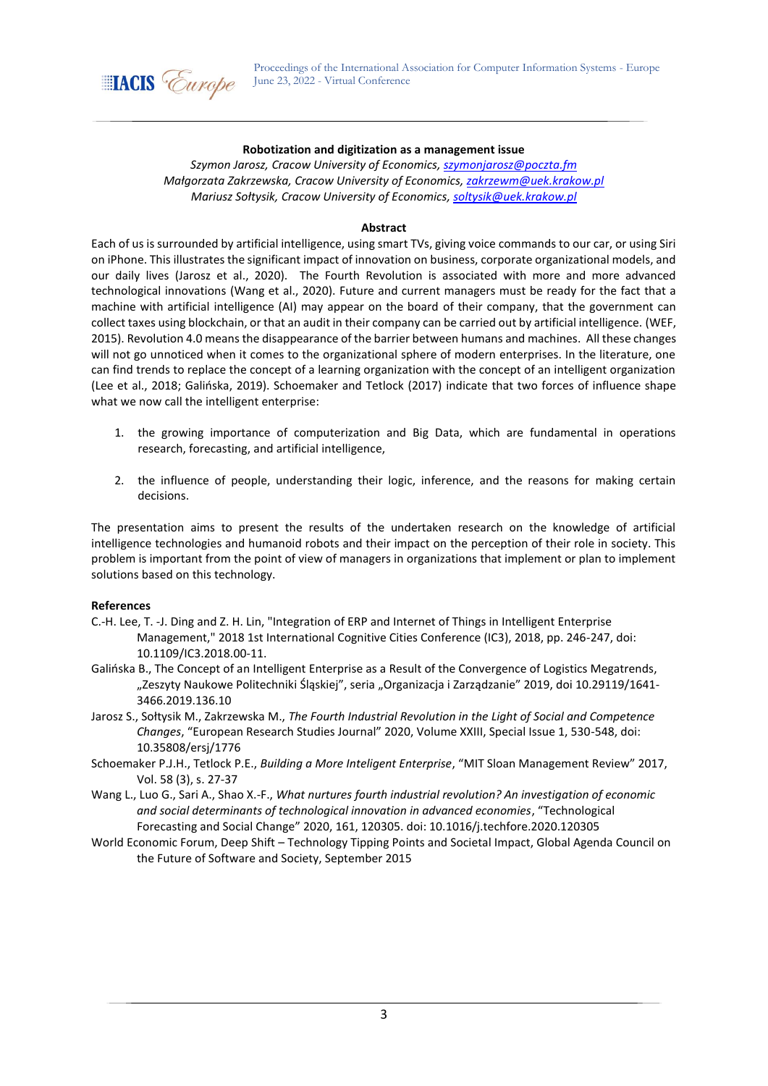

### **Robotization and digitization as a management issue**

*Szymon Jarosz, Cracow University of Economics, [szymonjarosz@poczta.fm](mailto:szymonjarosz@poczta.fm) Małgorzata Zakrzewska, Cracow University of Economics, [zakrzewm@uek.krakow.pl](mailto:zakrzewm@uek.krakow.pl) Mariusz Sołtysik, Cracow University of Economics[, soltysik@uek.krakow.pl](mailto:soltysik@uek.krakow.pl)*

#### **Abstract**

Each of us is surrounded by artificial intelligence, using smart TVs, giving voice commands to our car, or using Siri on iPhone. This illustrates the significant impact of innovation on business, corporate organizational models, and our daily lives (Jarosz et al., 2020). The Fourth Revolution is associated with more and more advanced technological innovations (Wang et al., 2020). Future and current managers must be ready for the fact that a machine with artificial intelligence (AI) may appear on the board of their company, that the government can collect taxes using blockchain, or that an audit in their company can be carried out by artificial intelligence. (WEF, 2015). Revolution 4.0 means the disappearance of the barrier between humans and machines. All these changes will not go unnoticed when it comes to the organizational sphere of modern enterprises. In the literature, one can find trends to replace the concept of a learning organization with the concept of an intelligent organization (Lee et al., 2018; Galińska, 2019). Schoemaker and Tetlock (2017) indicate that two forces of influence shape what we now call the intelligent enterprise:

- 1. the growing importance of computerization and Big Data, which are fundamental in operations research, forecasting, and artificial intelligence,
- 2. the influence of people, understanding their logic, inference, and the reasons for making certain decisions.

The presentation aims to present the results of the undertaken research on the knowledge of artificial intelligence technologies and humanoid robots and their impact on the perception of their role in society. This problem is important from the point of view of managers in organizations that implement or plan to implement solutions based on this technology.

- C.-H. Lee, T. -J. Ding and Z. H. Lin, "Integration of ERP and Internet of Things in Intelligent Enterprise Management," 2018 1st International Cognitive Cities Conference (IC3), 2018, pp. 246-247, doi: 10.1109/IC3.2018.00-11.
- Galińska B., The Concept of an Intelligent Enterprise as a Result of the Convergence of Logistics Megatrends, "Zeszyty Naukowe Politechniki Śląskiej", seria "Organizacja i Zarządzanie" 2019, doi 10.29119/1641-3466.2019.136.10
- Jarosz S., Sołtysik M., Zakrzewska M., *The Fourth Industrial Revolution in the Light of Social and Competence Changes*, "European Research Studies Journal" 2020, Volume XXIII, Special Issue 1, 530-548, doi: 10.35808/ersj/1776
- Schoemaker P.J.H., Tetlock P.E., *Building a More Inteligent Enterprise*, "MIT Sloan Management Review" 2017, Vol. 58 (3), s. 27-37
- Wang L., Luo G., Sari A., Shao X.-F., *What nurtures fourth industrial revolution? An investigation of economic and social determinants of technological innovation in advanced economies*, "Technological Forecasting and Social Change" 2020, 161, 120305. doi: 10.1016/j.techfore.2020.120305
- World Economic Forum, Deep Shift Technology Tipping Points and Societal Impact, Global Agenda Council on the Future of Software and Society, September 2015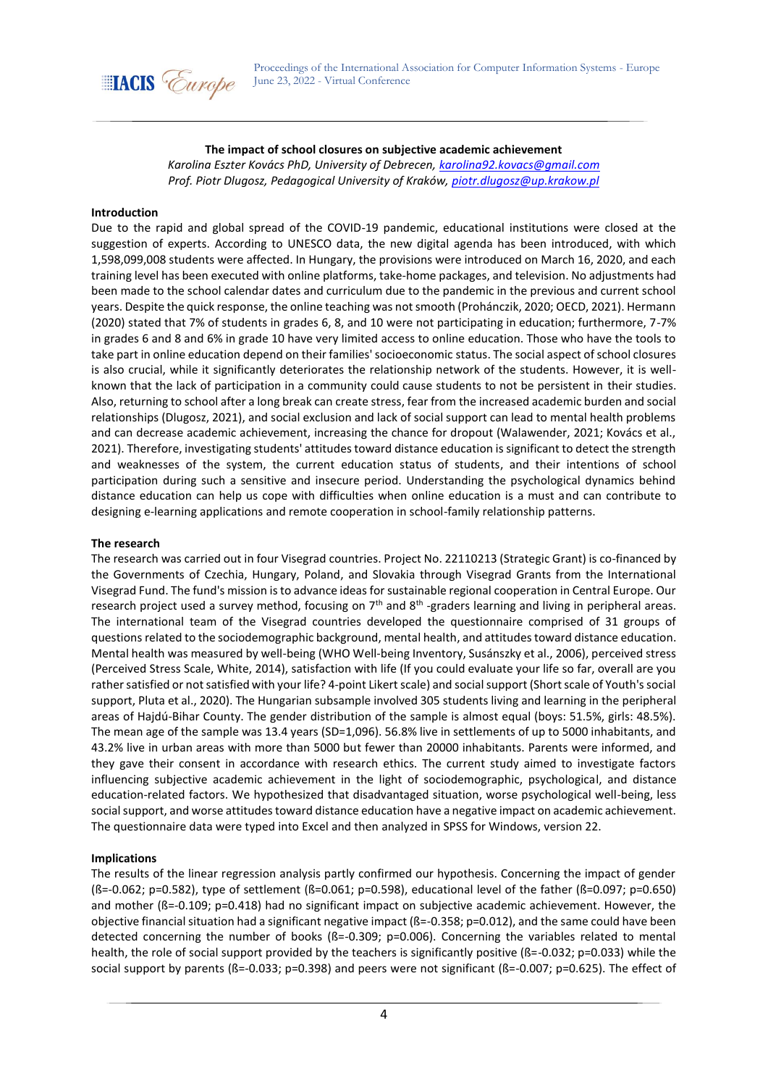

## **The impact of school closures on subjective academic achievement**

*Karolina Eszter Kovács PhD, University of Debrecen[, karolina92.kovacs@gmail.com](mailto:karolina92.kovacs@gmail.com) Prof. Piotr Dlugosz, Pedagogical University of Kraków, [piotr.dlugosz@up.krakow.pl](mailto:piotr.dlugosz@up.krakow.pl)*

#### **Introduction**

Due to the rapid and global spread of the COVID-19 pandemic, educational institutions were closed at the suggestion of experts. According to UNESCO data, the new digital agenda has been introduced, with which 1,598,099,008 students were affected. In Hungary, the provisions were introduced on March 16, 2020, and each training level has been executed with online platforms, take-home packages, and television. No adjustments had been made to the school calendar dates and curriculum due to the pandemic in the previous and current school years. Despite the quick response, the online teaching was not smooth (Prohánczik, 2020; OECD, 2021). Hermann (2020) stated that 7% of students in grades 6, 8, and 10 were not participating in education; furthermore, 7-7% in grades 6 and 8 and 6% in grade 10 have very limited access to online education. Those who have the tools to take part in online education depend on their families' socioeconomic status. The social aspect of school closures is also crucial, while it significantly deteriorates the relationship network of the students. However, it is wellknown that the lack of participation in a community could cause students to not be persistent in their studies. Also, returning to school after a long break can create stress, fear from the increased academic burden and social relationships (Dlugosz, 2021), and social exclusion and lack of social support can lead to mental health problems and can decrease academic achievement, increasing the chance for dropout (Walawender, 2021; Kovács et al., 2021). Therefore, investigating students' attitudes toward distance education is significant to detect the strength and weaknesses of the system, the current education status of students, and their intentions of school participation during such a sensitive and insecure period. Understanding the psychological dynamics behind distance education can help us cope with difficulties when online education is a must and can contribute to designing e-learning applications and remote cooperation in school-family relationship patterns.

#### **The research**

The research was carried out in four Visegrad countries. Project No. 22110213 (Strategic Grant) is co-financed by the Governments of Czechia, Hungary, Poland, and Slovakia through Visegrad Grants from the International Visegrad Fund. The fund's mission is to advance ideas for sustainable regional cooperation in Central Europe. Our research project used a survey method, focusing on 7<sup>th</sup> and 8<sup>th</sup> -graders learning and living in peripheral areas. The international team of the Visegrad countries developed the questionnaire comprised of 31 groups of questions related to the sociodemographic background, mental health, and attitudes toward distance education. Mental health was measured by well-being (WHO Well-being Inventory, Susánszky et al., 2006), perceived stress (Perceived Stress Scale, White, 2014), satisfaction with life (If you could evaluate your life so far, overall are you rather satisfied or not satisfied with your life? 4-point Likert scale) and social support (Short scale of Youth's social support, Pluta et al., 2020). The Hungarian subsample involved 305 students living and learning in the peripheral areas of Hajdú-Bihar County. The gender distribution of the sample is almost equal (boys: 51.5%, girls: 48.5%). The mean age of the sample was 13.4 years (SD=1,096). 56.8% live in settlements of up to 5000 inhabitants, and 43.2% live in urban areas with more than 5000 but fewer than 20000 inhabitants. Parents were informed, and they gave their consent in accordance with research ethics. The current study aimed to investigate factors influencing subjective academic achievement in the light of sociodemographic, psychological, and distance education-related factors. We hypothesized that disadvantaged situation, worse psychological well-being, less social support, and worse attitudes toward distance education have a negative impact on academic achievement. The questionnaire data were typed into Excel and then analyzed in SPSS for Windows, version 22.

### **Implications**

The results of the linear regression analysis partly confirmed our hypothesis. Concerning the impact of gender (ß=-0.062; p=0.582), type of settlement (ß=0.061; p=0.598), educational level of the father (ß=0.097; p=0.650) and mother (ß=-0.109; p=0.418) had no significant impact on subjective academic achievement. However, the objective financial situation had a significant negative impact (ß=-0.358; p=0.012), and the same could have been detected concerning the number of books (ß=-0.309; p=0.006). Concerning the variables related to mental health, the role of social support provided by the teachers is significantly positive ( $B = -0.032$ ; p=0.033) while the social support by parents (ß=-0.033; p=0.398) and peers were not significant (ß=-0.007; p=0.625). The effect of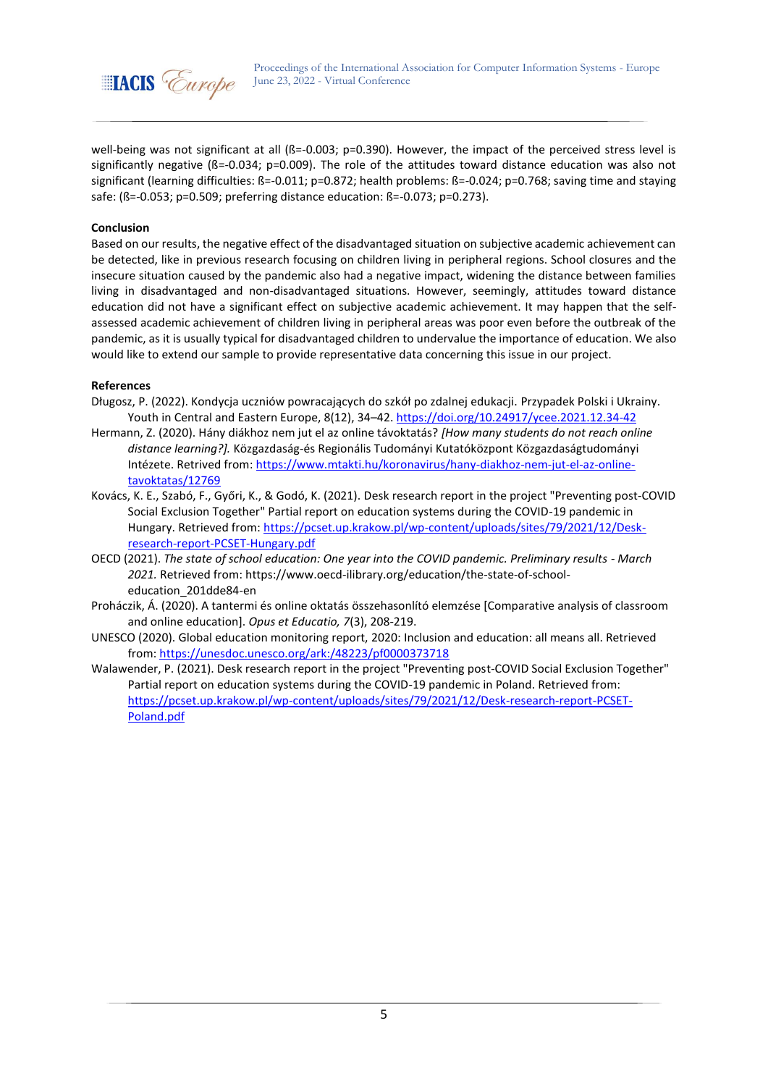

well-being was not significant at all ( $\beta$ =-0.003; p=0.390). However, the impact of the perceived stress level is significantly negative (ß=-0.034; p=0.009). The role of the attitudes toward distance education was also not significant (learning difficulties: ß=-0.011; p=0.872; health problems: ß=-0.024; p=0.768; saving time and staying safe: (ß=-0.053; p=0.509; preferring distance education: ß=-0.073; p=0.273).

## **Conclusion**

Based on our results, the negative effect of the disadvantaged situation on subjective academic achievement can be detected, like in previous research focusing on children living in peripheral regions. School closures and the insecure situation caused by the pandemic also had a negative impact, widening the distance between families living in disadvantaged and non-disadvantaged situations. However, seemingly, attitudes toward distance education did not have a significant effect on subjective academic achievement. It may happen that the selfassessed academic achievement of children living in peripheral areas was poor even before the outbreak of the pandemic, as it is usually typical for disadvantaged children to undervalue the importance of education. We also would like to extend our sample to provide representative data concerning this issue in our project.

- Długosz, P. (2022). Kondycja uczniów powracających do szkół po zdalnej edukacji. Przypadek Polski i Ukrainy. Youth in Central and Eastern Europe, 8(12), 34–42[. https://doi.org/10.24917/ycee.2021.12.34-42](https://doi.org/10.24917/ycee.2021.12.34-42)
- Hermann, Z. (2020). Hány diákhoz nem jut el az online távoktatás? *[How many students do not reach online distance learning?].* Közgazdaság-és Regionális Tudományi Kutatóközpont Közgazdaságtudományi Intézete. Retrived from[: https://www.mtakti.hu/koronavirus/hany-diakhoz-nem-jut-el-az-online](https://www.mtakti.hu/koronavirus/hany-diakhoz-nem-jut-el-az-online-tavoktatas/12769)[tavoktatas/12769](https://www.mtakti.hu/koronavirus/hany-diakhoz-nem-jut-el-az-online-tavoktatas/12769)
- Kovács, K. E., Szabó, F., Győri, K., & Godó, K. (2021). Desk research report in the project "Preventing post-COVID Social Exclusion Together" Partial report on education systems during the COVID-19 pandemic in Hungary. Retrieved from[: https://pcset.up.krakow.pl/wp-content/uploads/sites/79/2021/12/Desk](https://pcset.up.krakow.pl/wp-content/uploads/sites/79/2021/12/Desk-research-report-PCSET-Hungary.pdf)[research-report-PCSET-Hungary.pdf](https://pcset.up.krakow.pl/wp-content/uploads/sites/79/2021/12/Desk-research-report-PCSET-Hungary.pdf)
- OECD (2021). *The state of school education: One year into the COVID pandemic. Preliminary results - March 2021.* Retrieved from[: https://www.oecd-ilibrary.org/education/the-state-of-school](https://www.oecd-ilibrary.org/education/the-state-of-school-education_201dde84-en)[education\\_201dde84-en](https://www.oecd-ilibrary.org/education/the-state-of-school-education_201dde84-en)
- Proháczik, Á. (2020). A tantermi és online oktatás összehasonlító elemzése [Comparative analysis of classroom and online education]. *Opus et Educatio, 7*(3), 208-219.
- UNESCO (2020). Global education monitoring report, 2020: Inclusion and education: all means all. Retrieved from:<https://unesdoc.unesco.org/ark:/48223/pf0000373718>
- Walawender, P. (2021). Desk research report in the project "Preventing post-COVID Social Exclusion Together" Partial report on education systems during the COVID-19 pandemic in Poland. Retrieved from: [https://pcset.up.krakow.pl/wp-content/uploads/sites/79/2021/12/Desk-research-report-PCSET-](https://pcset.up.krakow.pl/wp-content/uploads/sites/79/2021/12/Desk-research-report-PCSET-Poland.pdf)[Poland.pdf](https://pcset.up.krakow.pl/wp-content/uploads/sites/79/2021/12/Desk-research-report-PCSET-Poland.pdf)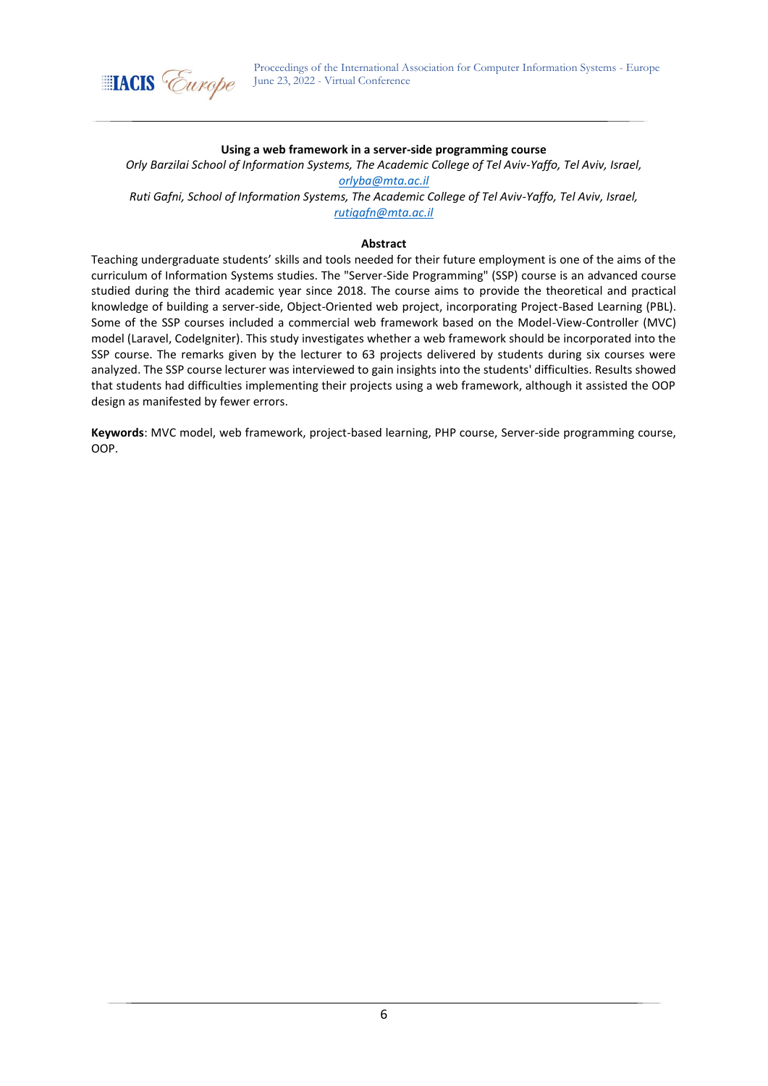

### **Using a web framework in a server-side programming course**

*Orly Barzilai School of Information Systems, The Academic College of Tel Aviv-Yaffo, Tel Aviv, Israel, [orlyba@mta.ac.il](mailto:orlyba@mta.ac.il)*

*Ruti Gafni, School of Information Systems, The Academic College of Tel Aviv-Yaffo, Tel Aviv, Israel, rutigafn@mta.ac.il*

#### **Abstract**

Teaching undergraduate students' skills and tools needed for their future employment is one of the aims of the curriculum of Information Systems studies. The "Server-Side Programming" (SSP) course is an advanced course studied during the third academic year since 2018. The course aims to provide the theoretical and practical knowledge of building a server-side, Object-Oriented web project, incorporating Project-Based Learning (PBL). Some of the SSP courses included a commercial web framework based on the Model-View-Controller (MVC) model (Laravel, CodeIgniter). This study investigates whether a web framework should be incorporated into the SSP course. The remarks given by the lecturer to 63 projects delivered by students during six courses were analyzed. The SSP course lecturer was interviewed to gain insights into the students' difficulties. Results showed that students had difficulties implementing their projects using a web framework, although it assisted the OOP design as manifested by fewer errors.

**Keywords**: MVC model, web framework, project-based learning, PHP course, Server-side programming course, OOP.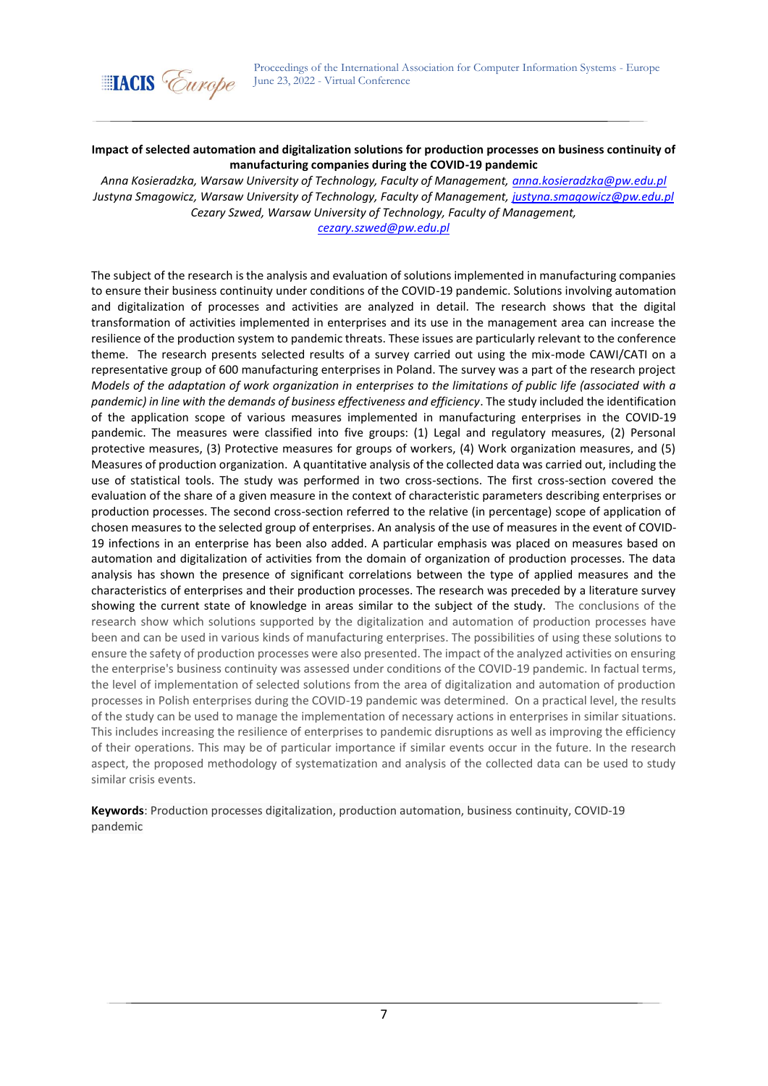

## **Impact of selected automation and digitalization solutions for production processes on business continuity of manufacturing companies during the COVID-19 pandemic**

*Anna Kosieradzka, Warsaw University of Technology, Faculty of Management, [anna.kosieradzka@pw.edu.pl](mailto:anna.kosieradzka@pw.edu.pl) Justyna Smagowicz, Warsaw University of Technology, Faculty of Management, [justyna.smagowicz@pw.edu.pl](mailto:justyna.smagowicz@pw.edu.pl) Cezary Szwed, Warsaw University of Technology, Faculty of Management,*

*[cezary.szwed@pw.edu.pl](mailto:cezary.szwed@pw.edu.pl)*

The subject of the research is the analysis and evaluation of solutions implemented in manufacturing companies to ensure their business continuity under conditions of the COVID-19 pandemic. Solutions involving automation and digitalization of processes and activities are analyzed in detail. The research shows that the digital transformation of activities implemented in enterprises and its use in the management area can increase the resilience of the production system to pandemic threats. These issues are particularly relevant to the conference theme. The research presents selected results of a survey carried out using the mix-mode CAWI/CATI on a representative group of 600 manufacturing enterprises in Poland. The survey was a part of the research project *Models of the adaptation of work organization in enterprises to the limitations of public life (associated with a pandemic) in line with the demands of business effectiveness and efficiency*. The study included the identification of the application scope of various measures implemented in manufacturing enterprises in the COVID-19 pandemic. The measures were classified into five groups: (1) Legal and regulatory measures, (2) Personal protective measures, (3) Protective measures for groups of workers, (4) Work organization measures, and (5) Measures of production organization. A quantitative analysis of the collected data was carried out, including the use of statistical tools. The study was performed in two cross-sections. The first cross-section covered the evaluation of the share of a given measure in the context of characteristic parameters describing enterprises or production processes. The second cross-section referred to the relative (in percentage) scope of application of chosen measures to the selected group of enterprises. An analysis of the use of measures in the event of COVID-19 infections in an enterprise has been also added. A particular emphasis was placed on measures based on automation and digitalization of activities from the domain of organization of production processes. The data analysis has shown the presence of significant correlations between the type of applied measures and the characteristics of enterprises and their production processes. The research was preceded by a literature survey showing the current state of knowledge in areas similar to the subject of the study. The conclusions of the research show which solutions supported by the digitalization and automation of production processes have been and can be used in various kinds of manufacturing enterprises. The possibilities of using these solutions to ensure the safety of production processes were also presented. The impact of the analyzed activities on ensuring the enterprise's business continuity was assessed under conditions of the COVID-19 pandemic. In factual terms, the level of implementation of selected solutions from the area of digitalization and automation of production processes in Polish enterprises during the COVID-19 pandemic was determined. On a practical level, the results of the study can be used to manage the implementation of necessary actions in enterprises in similar situations. This includes increasing the resilience of enterprises to pandemic disruptions as well as improving the efficiency of their operations. This may be of particular importance if similar events occur in the future. In the research aspect, the proposed methodology of systematization and analysis of the collected data can be used to study similar crisis events.

**Keywords**: Production processes digitalization, production automation, business continuity, COVID-19 pandemic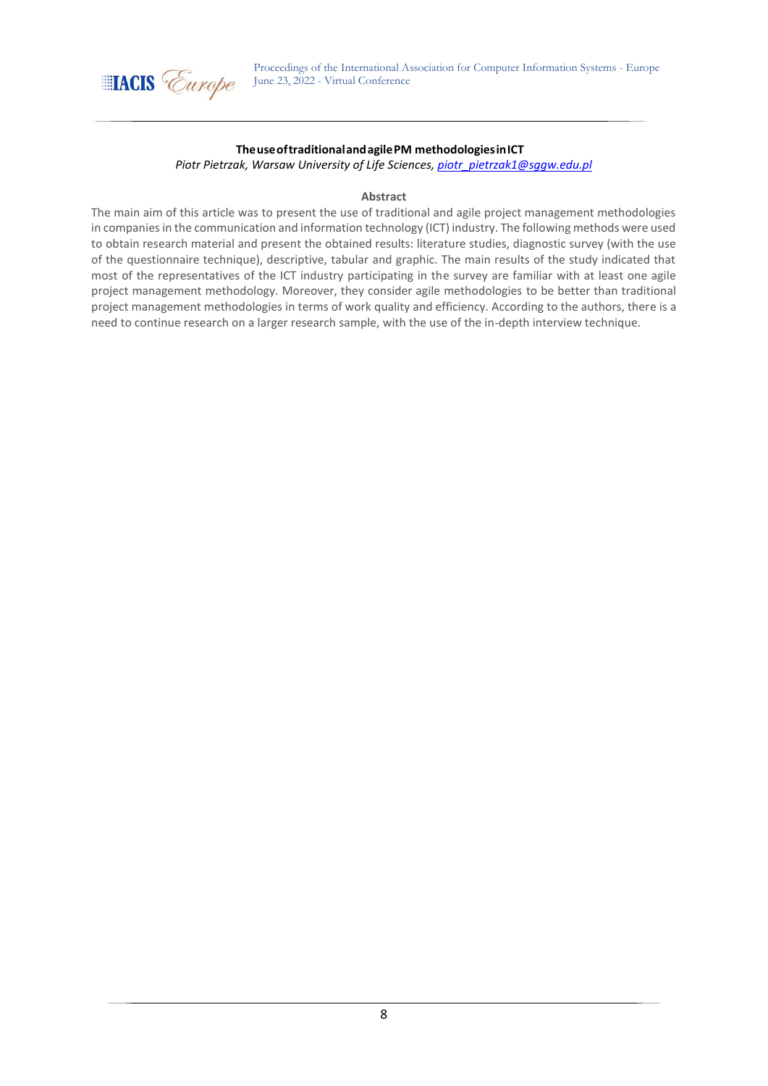

## **TheuseoftraditionalandagilePM methodologiesinICT**

*Piotr Pietrzak, Warsaw University of Life Sciences[, piotr\\_pietrzak1@sggw.edu.pl](mailto:piotr_pietrzak1@sggw.edu.pl)*

#### **Abstract**

The main aim of this article was to present the use of traditional and agile project management methodologies in companies in the communication and information technology (ICT) industry. The following methods were used to obtain research material and present the obtained results: literature studies, diagnostic survey (with the use of the questionnaire technique), descriptive, tabular and graphic. The main results of the study indicated that most of the representatives of the ICT industry participating in the survey are familiar with at least one agile project management methodology. Moreover, they consider agile methodologies to be better than traditional project management methodologies in terms of work quality and efficiency. According to the authors, there is a need to continue research on a larger research sample, with the use of the in-depth interview technique.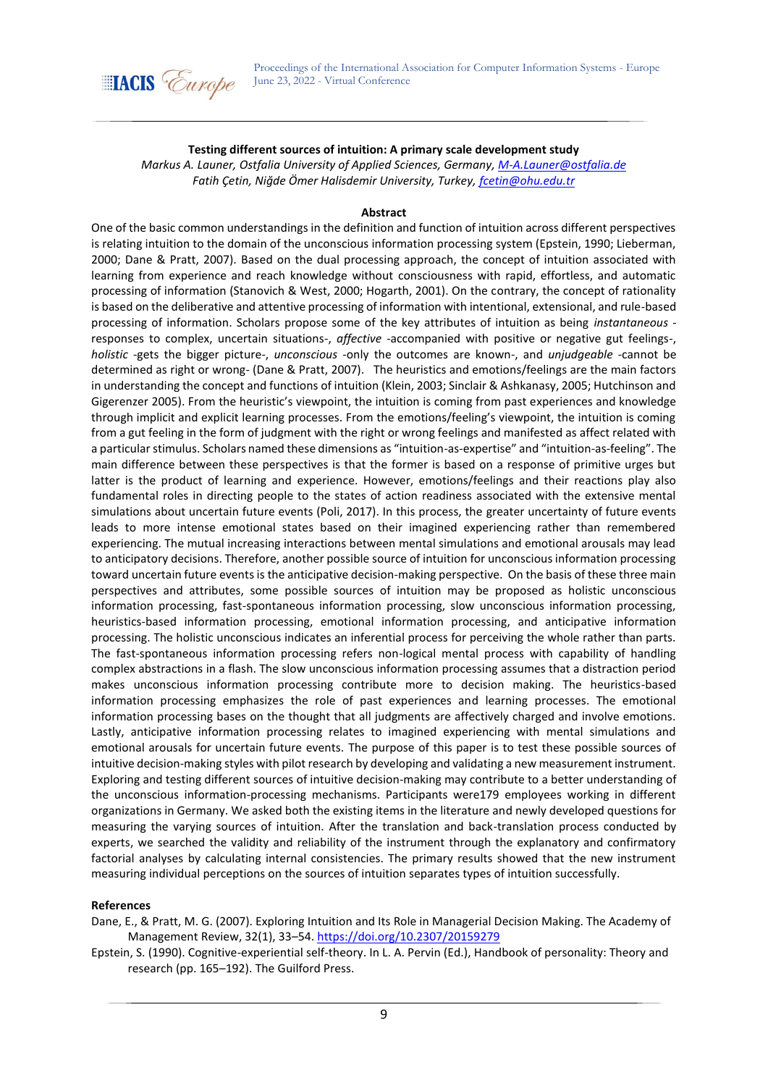

## **Testing different sources of intuition: A primary scale development study**

*Markus A. Launer, Ostfalia University of Applied Sciences, Germany, [M-A.Launer@ostfalia.de](mailto:M-A.Launer@ostfalia.de) Fatih Çetin, Niğde Ömer Halisdemir University, Turkey, [fcetin@ohu.edu.tr](mailto:fcetin@ohu.edu.tr)*

### **Abstract**

One of the basic common understandings in the definition and function of intuition across different perspectives is relating intuition to the domain of the unconscious information processing system (Epstein, 1990; Lieberman, 2000; Dane & Pratt, 2007). Based on the dual processing approach, the concept of intuition associated with learning from experience and reach knowledge without consciousness with rapid, effortless, and automatic processing of information (Stanovich & West, 2000; Hogarth, 2001). On the contrary, the concept of rationality is based on the deliberative and attentive processing of information with intentional, extensional, and rule-based processing of information. Scholars propose some of the key attributes of intuition as being *instantaneous* responses to complex, uncertain situations-, *affective* -accompanied with positive or negative gut feelings-, *holistic* -gets the bigger picture-, *unconscious* -only the outcomes are known-, and *unjudgeable* -cannot be determined as right or wrong- (Dane & Pratt, 2007). The heuristics and emotions/feelings are the main factors in understanding the concept and functions of intuition (Klein, 2003; Sinclair & Ashkanasy, 2005; Hutchinson and Gigerenzer 2005). From the heuristic's viewpoint, the intuition is coming from past experiences and knowledge through implicit and explicit learning processes. From the emotions/feeling's viewpoint, the intuition is coming from a gut feeling in the form of judgment with the right or wrong feelings and manifested as affect related with a particular stimulus. Scholars named these dimensions as "intuition-as-expertise" and "intuition-as-feeling". The main difference between these perspectives is that the former is based on a response of primitive urges but latter is the product of learning and experience. However, emotions/feelings and their reactions play also fundamental roles in directing people to the states of action readiness associated with the extensive mental simulations about uncertain future events (Poli, 2017). In this process, the greater uncertainty of future events leads to more intense emotional states based on their imagined experiencing rather than remembered experiencing. The mutual increasing interactions between mental simulations and emotional arousals may lead to anticipatory decisions. Therefore, another possible source of intuition for unconscious information processing toward uncertain future events is the anticipative decision-making perspective. On the basis of these three main perspectives and attributes, some possible sources of intuition may be proposed as holistic unconscious information processing, fast-spontaneous information processing, slow unconscious information processing, heuristics-based information processing, emotional information processing, and anticipative information processing. The holistic unconscious indicates an inferential process for perceiving the whole rather than parts. The fast-spontaneous information processing refers non-logical mental process with capability of handling complex abstractions in a flash. The slow unconscious information processing assumes that a distraction period makes unconscious information processing contribute more to decision making. The heuristics-based information processing emphasizes the role of past experiences and learning processes. The emotional information processing bases on the thought that all judgments are affectively charged and involve emotions. Lastly, anticipative information processing relates to imagined experiencing with mental simulations and emotional arousals for uncertain future events. The purpose of this paper is to test these possible sources of intuitive decision-making styles with pilot research by developing and validating a new measurement instrument. Exploring and testing different sources of intuitive decision-making may contribute to a better understanding of the unconscious information-processing mechanisms. Participants were179 employees working in different organizations in Germany. We asked both the existing items in the literature and newly developed questions for measuring the varying sources of intuition. After the translation and back-translation process conducted by experts, we searched the validity and reliability of the instrument through the explanatory and confirmatory factorial analyses by calculating internal consistencies. The primary results showed that the new instrument measuring individual perceptions on the sources of intuition separates types of intuition successfully.

#### **References**

Dane, E., & Pratt, M. G. (2007). Exploring Intuition and Its Role in Managerial Decision Making. The Academy of Management Review, 32(1), 33–54.<https://doi.org/10.2307/20159279>

Epstein, S. (1990). Cognitive-experiential self-theory. In L. A. Pervin (Ed.), Handbook of personality: Theory and research (pp. 165–192). The Guilford Press.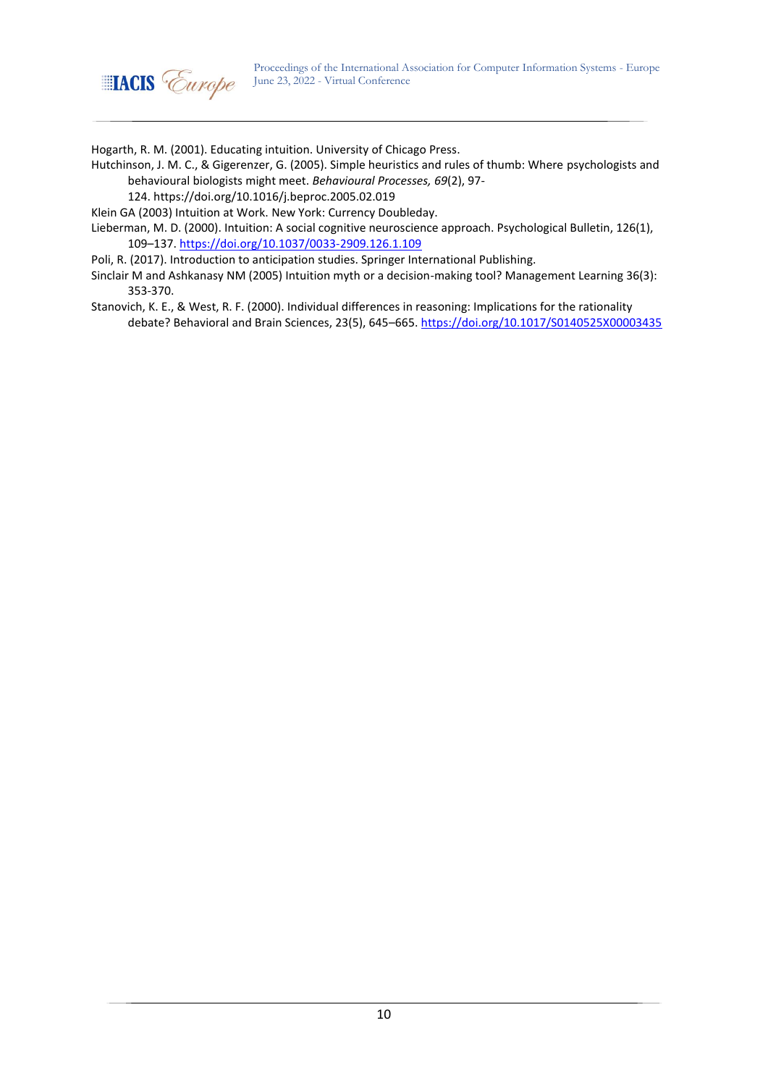

Hogarth, R. M. (2001). Educating intuition. University of Chicago Press.

Hutchinson, J. M. C., & Gigerenzer, G. (2005). Simple heuristics and rules of thumb: Where psychologists and behavioural biologists might meet. *Behavioural Processes, 69*(2), 97-

124. [https://doi.org/10.1016/j.beproc.2005.02.019](https://psycnet.apa.org/doi/10.1016/j.beproc.2005.02.019)

Klein GA (2003) Intuition at Work. New York: Currency Doubleday.

Lieberman, M. D. (2000). Intuition: A social cognitive neuroscience approach. Psychological Bulletin, 126(1), 109–137.<https://doi.org/10.1037/0033-2909.126.1.109>

Poli, R. (2017). Introduction to anticipation studies. Springer International Publishing.

Sinclair M and Ashkanasy NM (2005) Intuition myth or a decision-making tool? Management Learning 36(3): 353-370.

Stanovich, K. E., & West, R. F. (2000). Individual differences in reasoning: Implications for the rationality debate? Behavioral and Brain Sciences, 23(5), 645–665[. https://doi.org/10.1017/S0140525X00003435](https://doi.org/10.1017/S0140525X00003435)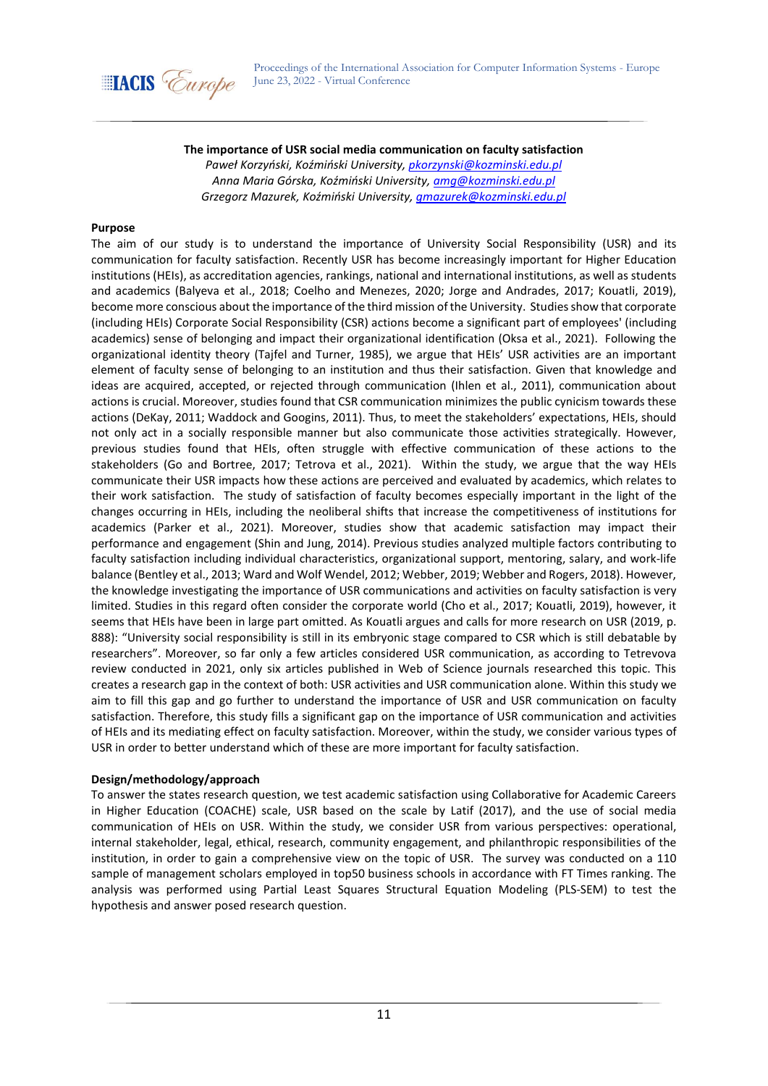

## **The importance of USR social media communication on faculty satisfaction**

*Paweł Korzyński, Koźmiński University, [pkorzynski@kozminski.edu.pl](mailto:pkorzynski@kozminski.edu.pl) Anna Maria Górska, Koźmiński University, [amg@kozminski.edu.pl](mailto:amg@kozminski.edu.pl) Grzegorz Mazurek, Koźmiński University, [gmazurek@kozminski.edu.pl](mailto:gmazurek@kozminski.edu.pl)*

#### **Purpose**

The aim of our study is to understand the importance of University Social Responsibility (USR) and its communication for faculty satisfaction. Recently USR has become increasingly important for Higher Education institutions (HEIs), as accreditation agencies, rankings, national and international institutions, as well as students and academics (Balyeva et al., 2018; Coelho and Menezes, 2020; Jorge and Andrades, 2017; Kouatli, 2019), become more conscious about the importance of the third mission of the University. Studies show that corporate (including HEIs) Corporate Social Responsibility (CSR) actions become a significant part of employees' (including academics) sense of belonging and impact their organizational identification (Oksa et al., 2021). Following the organizational identity theory (Tajfel and Turner, 1985), we argue that HEIs' USR activities are an important element of faculty sense of belonging to an institution and thus their satisfaction. Given that knowledge and ideas are acquired, accepted, or rejected through communication (Ihlen et al., 2011), communication about actions is crucial. Moreover, studies found that CSR communication minimizes the public cynicism towards these actions (DeKay, 2011; Waddock and Googins, 2011). Thus, to meet the stakeholders' expectations, HEIs, should not only act in a socially responsible manner but also communicate those activities strategically. However, previous studies found that HEIs, often struggle with effective communication of these actions to the stakeholders (Go and Bortree, 2017; Tetrova et al., 2021). Within the study, we argue that the way HEIs communicate their USR impacts how these actions are perceived and evaluated by academics, which relates to their work satisfaction. The study of satisfaction of faculty becomes especially important in the light of the changes occurring in HEIs, including the neoliberal shifts that increase the competitiveness of institutions for academics (Parker et al., 2021). Moreover, studies show that academic satisfaction may impact their performance and engagement (Shin and Jung, 2014). Previous studies analyzed multiple factors contributing to faculty satisfaction including individual characteristics, organizational support, mentoring, salary, and work-life balance (Bentley et al., 2013; Ward and Wolf Wendel, 2012; Webber, 2019; Webber and Rogers, 2018). However, the knowledge investigating the importance of USR communications and activities on faculty satisfaction is very limited. Studies in this regard often consider the corporate world (Cho et al., 2017; Kouatli, 2019), however, it seems that HEIs have been in large part omitted. As Kouatli argues and calls for more research on USR (2019, p. 888): "University social responsibility is still in its embryonic stage compared to CSR which is still debatable by researchers". Moreover, so far only a few articles considered USR communication, as according to Tetrevova review conducted in 2021, only six articles published in Web of Science journals researched this topic. This creates a research gap in the context of both: USR activities and USR communication alone. Within this study we aim to fill this gap and go further to understand the importance of USR and USR communication on faculty satisfaction. Therefore, this study fills a significant gap on the importance of USR communication and activities of HEIs and its mediating effect on faculty satisfaction. Moreover, within the study, we consider various types of USR in order to better understand which of these are more important for faculty satisfaction.

### **Design/methodology/approach**

To answer the states research question, we test academic satisfaction using Collaborative for Academic Careers in Higher Education (COACHE) scale, USR based on the scale by Latif (2017), and the use of social media communication of HEIs on USR. Within the study, we consider USR from various perspectives: operational, internal stakeholder, legal, ethical, research, community engagement, and philanthropic responsibilities of the institution, in order to gain a comprehensive view on the topic of USR. The survey was conducted on a 110 sample of management scholars employed in top50 business schools in accordance with FT Times ranking. The analysis was performed using Partial Least Squares Structural Equation Modeling (PLS-SEM) to test the hypothesis and answer posed research question.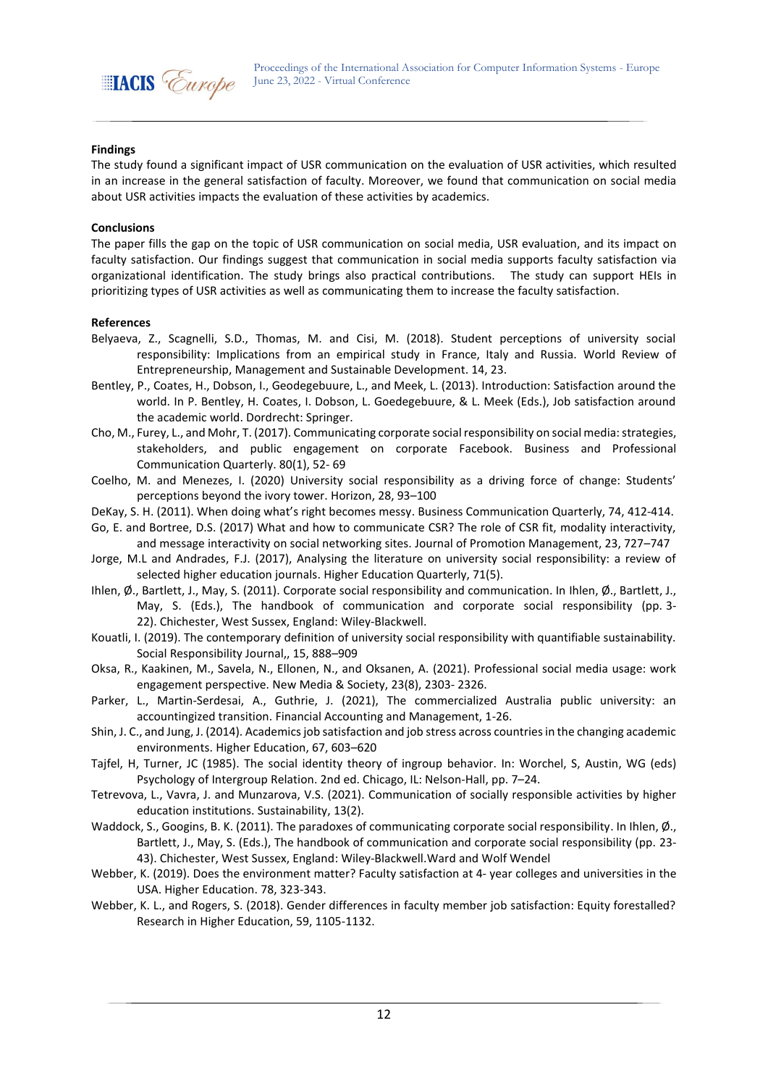

## **Findings**

The study found a significant impact of USR communication on the evaluation of USR activities, which resulted in an increase in the general satisfaction of faculty. Moreover, we found that communication on social media about USR activities impacts the evaluation of these activities by academics.

### **Conclusions**

The paper fills the gap on the topic of USR communication on social media, USR evaluation, and its impact on faculty satisfaction. Our findings suggest that communication in social media supports faculty satisfaction via organizational identification. The study brings also practical contributions. The study can support HEIs in prioritizing types of USR activities as well as communicating them to increase the faculty satisfaction.

- Belyaeva, Z., Scagnelli, S.D., Thomas, M. and Cisi, M. (2018). Student perceptions of university social responsibility: Implications from an empirical study in France, Italy and Russia. World Review of Entrepreneurship, Management and Sustainable Development. 14, 23.
- Bentley, P., Coates, H., Dobson, I., Geodegebuure, L., and Meek, L. (2013). Introduction: Satisfaction around the world. In P. Bentley, H. Coates, I. Dobson, L. Goedegebuure, & L. Meek (Eds.), Job satisfaction around the academic world. Dordrecht: Springer.
- Cho, M., Furey, L., and Mohr, T. (2017). Communicating corporate social responsibility on social media: strategies, stakeholders, and public engagement on corporate Facebook. Business and Professional Communication Quarterly. 80(1), 52- 69
- Coelho, M. and Menezes, I. (2020) University social responsibility as a driving force of change: Students' perceptions beyond the ivory tower. Horizon, 28, 93–100
- DeKay, S. H. (2011). When doing what's right becomes messy. Business Communication Quarterly, 74, 412-414.
- Go, E. and Bortree, D.S. (2017) What and how to communicate CSR? The role of CSR fit, modality interactivity, and message interactivity on social networking sites. Journal of Promotion Management, 23, 727–747
- Jorge, M.L and Andrades, F.J. (2017), Analysing the literature on university social responsibility: a review of selected higher education journals. Higher Education Quarterly, 71(5).
- Ihlen, Ø., Bartlett, J., May, S. (2011). Corporate social responsibility and communication. In Ihlen, Ø., Bartlett, J., May, S. (Eds.), The handbook of communication and corporate social responsibility (pp. 3- 22). Chichester, West Sussex, England: Wiley-Blackwell.
- Kouatli, I. (2019). The contemporary definition of university social responsibility with quantifiable sustainability. Social Responsibility Journal,, 15, 888–909
- Oksa, R., Kaakinen, M., Savela, N., Ellonen, N., and Oksanen, A. (2021). Professional social media usage: work engagement perspective. New Media & Society, 23(8), 2303- 2326.
- Parker, L., Martin-Serdesai, A., Guthrie, J. (2021), The commercialized Australia public university: an accountingized transition. Financial Accounting and Management, 1-26.
- Shin, J. C., and Jung, J. (2014). Academics job satisfaction and job stress across countries in the changing academic environments. Higher Education, 67, 603–620
- Tajfel, H, Turner, JC (1985). The social identity theory of ingroup behavior. In: Worchel, S, Austin, WG (eds) Psychology of Intergroup Relation. 2nd ed. Chicago, IL: Nelson-Hall, pp. 7–24.
- Tetrevova, L., Vavra, J. and Munzarova, V.S. (2021). Communication of socially responsible activities by higher education institutions. Sustainability, 13(2).
- Waddock, S., Googins, B. K. (2011). The paradoxes of communicating corporate social responsibility. In Ihlen, Ø., Bartlett, J., May, S. (Eds.), The handbook of communication and corporate social responsibility (pp. 23- 43). Chichester, West Sussex, England: Wiley-Blackwell.Ward and Wolf Wendel
- Webber, K. (2019). Does the environment matter? Faculty satisfaction at 4- year colleges and universities in the USA. Higher Education. 78, 323-343.
- Webber, K. L., and Rogers, S. (2018). Gender differences in faculty member job satisfaction: Equity forestalled? Research in Higher Education, 59, 1105-1132.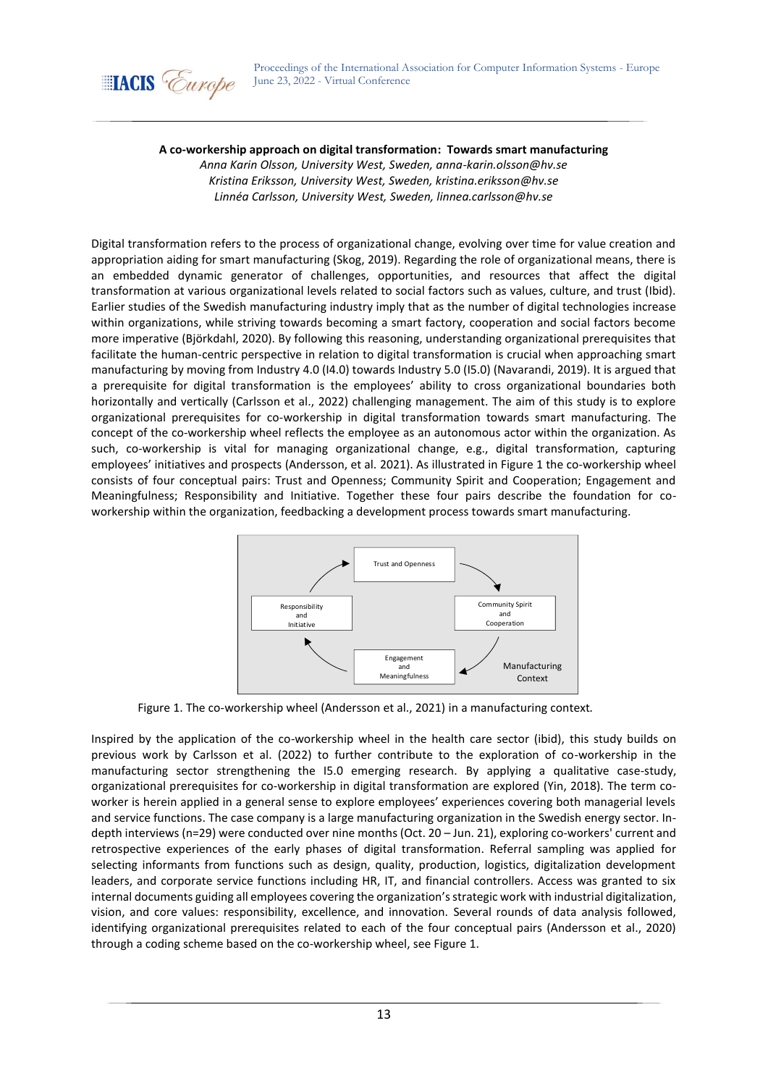

## **A co-workership approach on digital transformation: Towards smart manufacturing**

*Anna Karin Olsson, University West, Sweden, anna-karin.olsson@hv.se Kristina Eriksson, University West, Sweden, kristina.eriksson@hv.se Linnéa Carlsson, University West, Sweden, linnea.carlsson@hv.se*

Digital transformation refers to the process of organizational change, evolving over time for value creation and appropriation aiding for smart manufacturing (Skog, 2019). Regarding the role of organizational means, there is an embedded dynamic generator of challenges, opportunities, and resources that affect the digital transformation at various organizational levels related to social factors such as values, culture, and trust (Ibid). Earlier studies of the Swedish manufacturing industry imply that as the number of digital technologies increase within organizations, while striving towards becoming a smart factory, cooperation and social factors become more imperative (Björkdahl, 2020). By following this reasoning, understanding organizational prerequisites that facilitate the human-centric perspective in relation to digital transformation is crucial when approaching smart manufacturing by moving from Industry 4.0 (I4.0) towards Industry 5.0 (I5.0) (Navarandi, 2019). It is argued that a prerequisite for digital transformation is the employees' ability to cross organizational boundaries both horizontally and vertically (Carlsson et al., 2022) challenging management. The aim of this study is to explore organizational prerequisites for co-workership in digital transformation towards smart manufacturing. The concept of the co-workership wheel reflects the employee as an autonomous actor within the organization. As such, co-workership is vital for managing organizational change, e.g., digital transformation, capturing employees' initiatives and prospects (Andersson, et al. 2021). As illustrated in Figure 1 the co-workership wheel consists of four conceptual pairs: Trust and Openness; Community Spirit and Cooperation; Engagement and Meaningfulness; Responsibility and Initiative. Together these four pairs describe the foundation for coworkership within the organization, feedbacking a development process towards smart manufacturing.



Figure 1. The co-workership wheel (Andersson et al., 2021) in a manufacturing context*.*

Inspired by the application of the co-workership wheel in the health care sector (ibid), this study builds on previous work by Carlsson et al. (2022) to further contribute to the exploration of co-workership in the manufacturing sector strengthening the I5.0 emerging research. By applying a qualitative case-study, organizational prerequisites for co-workership in digital transformation are explored (Yin, 2018). The term coworker is herein applied in a general sense to explore employees' experiences covering both managerial levels and service functions. The case company is a large manufacturing organization in the Swedish energy sector. Indepth interviews (n=29) were conducted over nine months (Oct. 20 – Jun. 21), exploring co-workers' current and retrospective experiences of the early phases of digital transformation. Referral sampling was applied for selecting informants from functions such as design, quality, production, logistics, digitalization development leaders, and corporate service functions including HR, IT, and financial controllers. Access was granted to six internal documents guiding all employees covering the organization's strategic work with industrial digitalization, vision, and core values: responsibility, excellence, and innovation. Several rounds of data analysis followed, identifying organizational prerequisites related to each of the four conceptual pairs (Andersson et al., 2020) through a coding scheme based on the co-workership wheel, see Figure 1.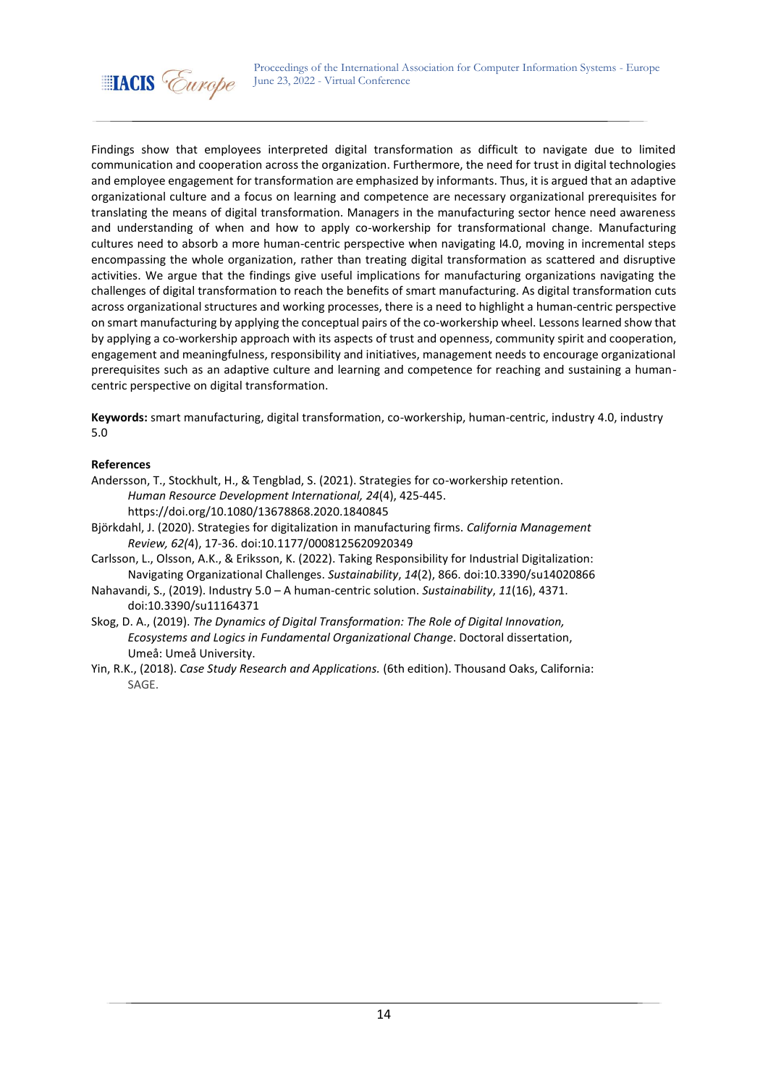

Findings show that employees interpreted digital transformation as difficult to navigate due to limited communication and cooperation across the organization. Furthermore, the need for trust in digital technologies and employee engagement for transformation are emphasized by informants. Thus, it is argued that an adaptive organizational culture and a focus on learning and competence are necessary organizational prerequisites for translating the means of digital transformation. Managers in the manufacturing sector hence need awareness and understanding of when and how to apply co-workership for transformational change. Manufacturing cultures need to absorb a more human-centric perspective when navigating I4.0, moving in incremental steps encompassing the whole organization, rather than treating digital transformation as scattered and disruptive activities. We argue that the findings give useful implications for manufacturing organizations navigating the challenges of digital transformation to reach the benefits of smart manufacturing. As digital transformation cuts across organizational structures and working processes, there is a need to highlight a human-centric perspective on smart manufacturing by applying the conceptual pairs of the co-workership wheel. Lessons learned show that by applying a co-workership approach with its aspects of trust and openness, community spirit and cooperation, engagement and meaningfulness, responsibility and initiatives, management needs to encourage organizational prerequisites such as an adaptive culture and learning and competence for reaching and sustaining a humancentric perspective on digital transformation.

**Keywords:** smart manufacturing, digital transformation, co-workership, human-centric, industry 4.0, industry 5.0

- Andersson, T., Stockhult, H., & Tengblad, S. (2021). Strategies for co-workership retention. *Human Resource Development International, 24*(4), 425-445. https://doi.org/10.1080/13678868.2020.1840845
- Björkdahl, J. (2020). Strategies for digitalization in manufacturing firms. *California Management Review, 62(*4), 17-36. doi:10.1177/0008125620920349
- Carlsson, L., Olsson, A.K., & Eriksson, K. (2022). Taking Responsibility for Industrial Digitalization: Navigating Organizational Challenges. *Sustainability*, *14*(2), 866. doi:10.3390/su14020866
- Nahavandi, S., (2019). Industry 5.0 A human-centric solution. *Sustainability*, *11*(16), 4371. doi:10.3390/su11164371
- Skog, D. A., (2019). *The Dynamics of Digital Transformation: The Role of Digital Innovation, Ecosystems and Logics in Fundamental Organizational Change*. Doctoral dissertation, Umeå: Umeå University.
- Yin, R.K., (2018). *Case Study Research and Applications.* (6th edition). Thousand Oaks, California: SAGE.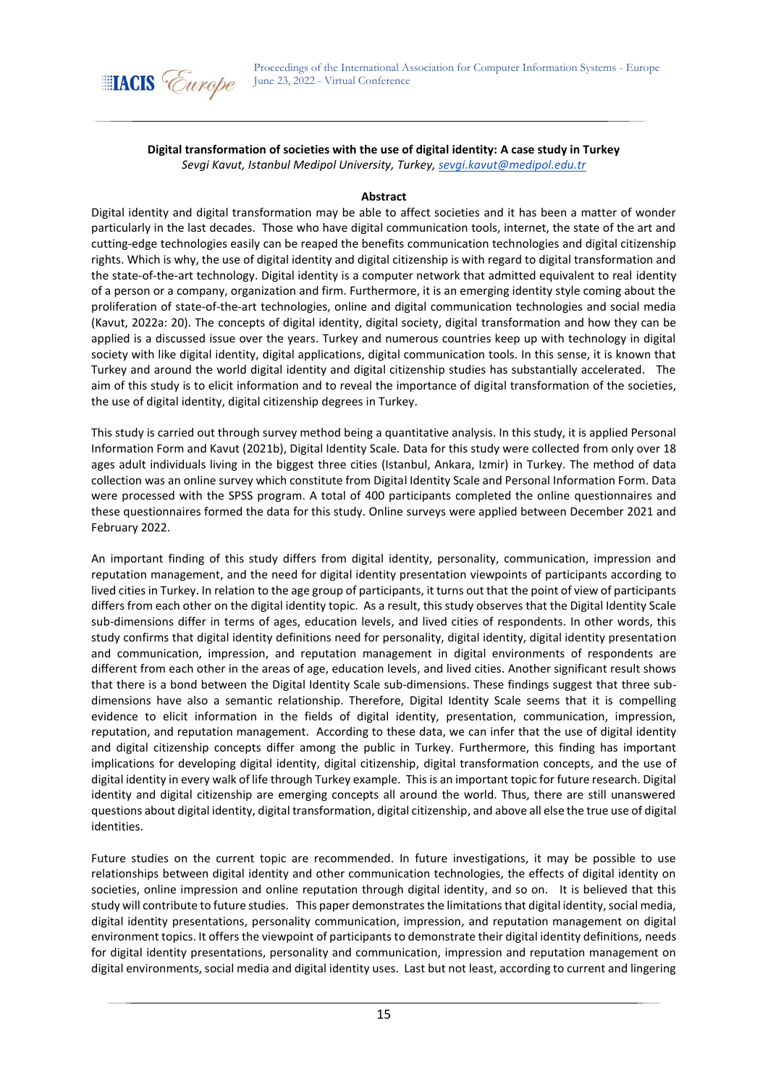

## **Digital transformation of societies with the use of digital identity: A case study in Turkey** *Sevgi Kavut, Istanbul Medipol University, Turkey, [sevgi.kavut@medipol.edu.tr](mailto:sevgi.kavut@medipol.edu.tr)*

#### **Abstract**

Digital identity and digital transformation may be able to affect societies and it has been a matter of wonder particularly in the last decades. Those who have digital communication tools, internet, the state of the art and cutting-edge technologies easily can be reaped the benefits communication technologies and digital citizenship rights. Which is why, the use of digital identity and digital citizenship is with regard to digital transformation and the state-of-the-art technology. Digital identity is a computer network that admitted equivalent to real identity of a person or a company, organization and firm. Furthermore, it is an emerging identity style coming about the proliferation of state-of-the-art technologies, online and digital communication technologies and social media (Kavut, 2022a: 20). The concepts of digital identity, digital society, digital transformation and how they can be applied is a discussed issue over the years. Turkey and numerous countries keep up with technology in digital society with like digital identity, digital applications, digital communication tools. In this sense, it is known that Turkey and around the world digital identity and digital citizenship studies has substantially accelerated. The aim of this study is to elicit information and to reveal the importance of digital transformation of the societies, the use of digital identity, digital citizenship degrees in Turkey.

This study is carried out through survey method being a quantitative analysis. In this study, it is applied Personal Information Form and Kavut (2021b), Digital Identity Scale. Data for this study were collected from only over 18 ages adult individuals living in the biggest three cities (Istanbul, Ankara, Izmir) in Turkey. The method of data collection was an online survey which constitute from Digital Identity Scale and Personal Information Form. Data were processed with the SPSS program. A total of 400 participants completed the online questionnaires and these questionnaires formed the data for this study. Online surveys were applied between December 2021 and February 2022.

An important finding of this study differs from digital identity, personality, communication, impression and reputation management, and the need for digital identity presentation viewpoints of participants according to lived cities in Turkey. In relation to the age group of participants, it turns out that the point of view of participants differs from each other on the digital identity topic. As a result, this study observes that the Digital Identity Scale sub-dimensions differ in terms of ages, education levels, and lived cities of respondents. In other words, this study confirms that digital identity definitions need for personality, digital identity, digital identity presentation and communication, impression, and reputation management in digital environments of respondents are different from each other in the areas of age, education levels, and lived cities. Another significant result shows that there is a bond between the Digital Identity Scale sub-dimensions. These findings suggest that three subdimensions have also a semantic relationship. Therefore, Digital Identity Scale seems that it is compelling evidence to elicit information in the fields of digital identity, presentation, communication, impression, reputation, and reputation management. According to these data, we can infer that the use of digital identity and digital citizenship concepts differ among the public in Turkey. Furthermore, this finding has important implications for developing digital identity, digital citizenship, digital transformation concepts, and the use of digital identity in every walk of life through Turkey example. This is an important topic for future research. Digital identity and digital citizenship are emerging concepts all around the world. Thus, there are still unanswered questions about digital identity, digital transformation, digital citizenship, and above all else the true use of digital identities.

Future studies on the current topic are recommended. In future investigations, it may be possible to use relationships between digital identity and other communication technologies, the effects of digital identity on societies, online impression and online reputation through digital identity, and so on. It is believed that this study will contribute to future studies. This paper demonstrates the limitations that digital identity, social media, digital identity presentations, personality communication, impression, and reputation management on digital environment topics. It offers the viewpoint of participants to demonstrate their digital identity definitions, needs for digital identity presentations, personality and communication, impression and reputation management on digital environments, social media and digital identity uses. Last but not least, according to current and lingering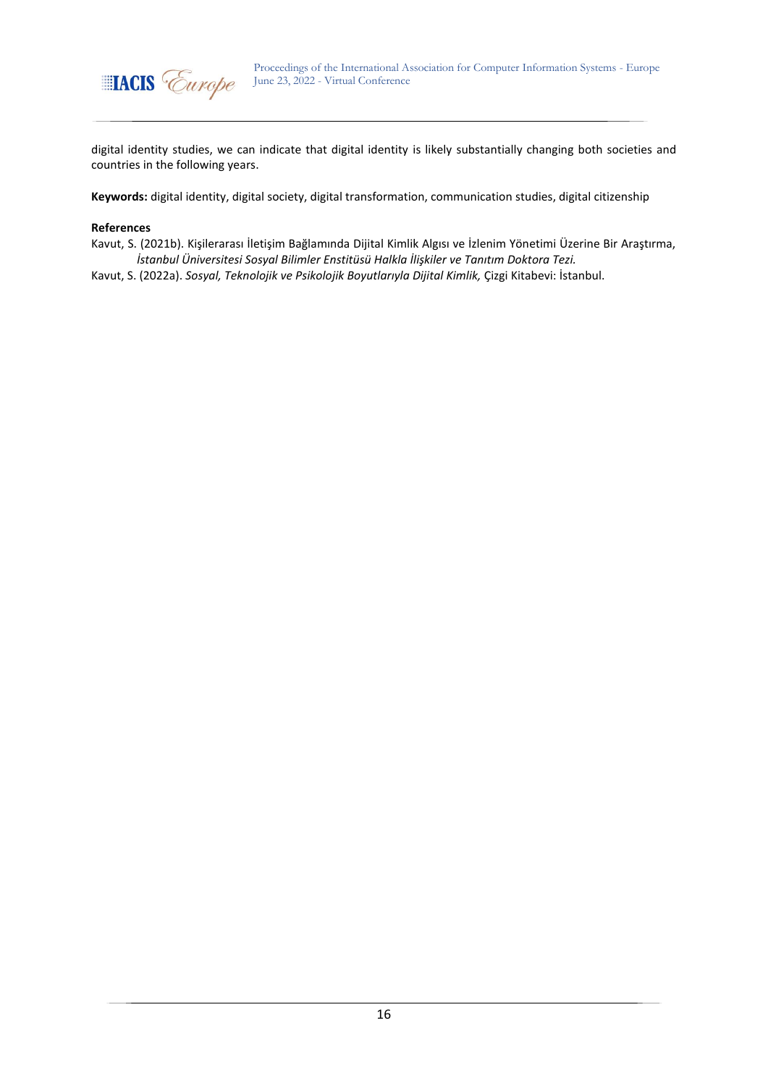

digital identity studies, we can indicate that digital identity is likely substantially changing both societies and countries in the following years.

**Keywords:** digital identity, digital society, digital transformation, communication studies, digital citizenship

#### **References**

Kavut, S. (2021b). Kişilerarası İletişim Bağlamında Dijital Kimlik Algısı ve İzlenim Yönetimi Üzerine Bir Araştırma, *İstanbul Üniversitesi Sosyal Bilimler Enstitüsü Halkla İlişkiler ve Tanıtım Doktora Tezi.*

Kavut, S. (2022a). *Sosyal, Teknolojik ve Psikolojik Boyutlarıyla Dijital Kimlik,* Çizgi Kitabevi: İstanbul.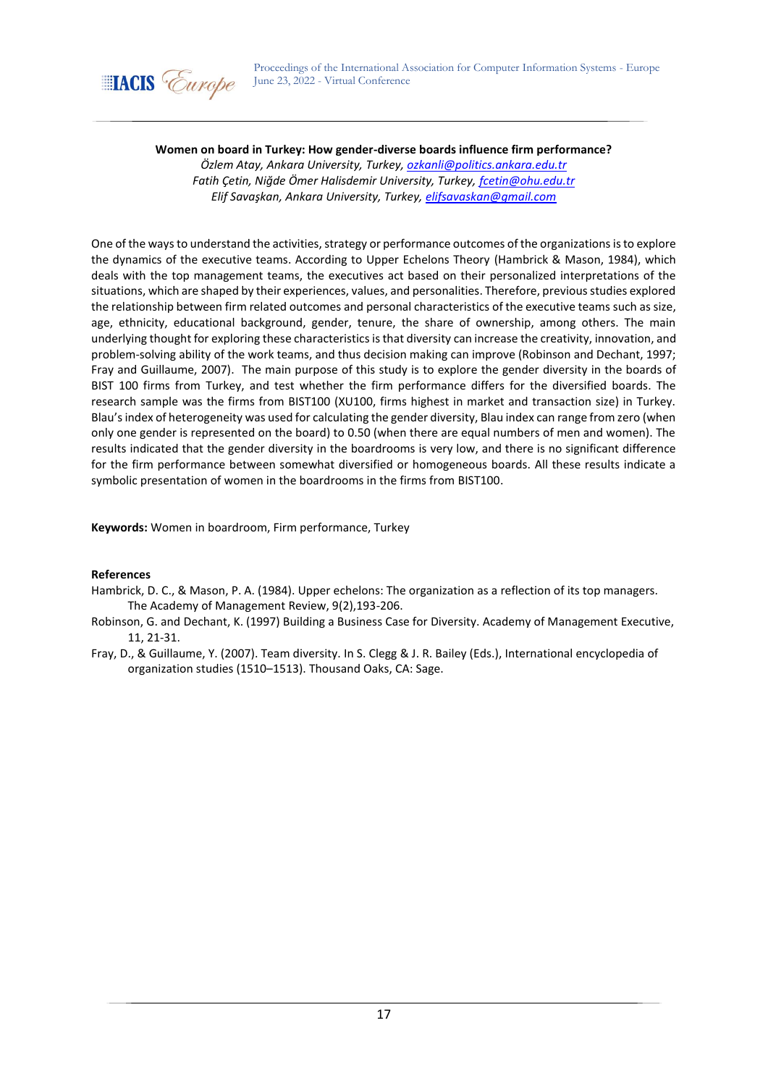

### **Women on board in Turkey: How gender-diverse boards influence firm performance?**

*Özlem Atay, Ankara University, Turkey[, ozkanli@politics.ankara.edu.tr](mailto:ozkanli@politics.ankara.edu.tr) Fatih Çetin, Niğde Ömer Halisdemir University, Turkey, [fcetin@ohu.edu.tr](mailto:fcetin@ohu.edu.tr) Elif Savaşkan, Ankara University, Turkey, [elifsavaskan@gmail.com](mailto:elifsavaskan@gmail.com)*

One of the ways to understand the activities, strategy or performance outcomes of the organizations is to explore the dynamics of the executive teams. According to Upper Echelons Theory (Hambrick & Mason, 1984), which deals with the top management teams, the executives act based on their personalized interpretations of the situations, which are shaped by their experiences, values, and personalities. Therefore, previous studies explored the relationship between firm related outcomes and personal characteristics of the executive teams such as size, age, ethnicity, educational background, gender, tenure, the share of ownership, among others. The main underlying thought for exploring these characteristics is that diversity can increase the creativity, innovation, and problem-solving ability of the work teams, and thus decision making can improve (Robinson and Dechant, 1997; Fray and Guillaume, 2007). The main purpose of this study is to explore the gender diversity in the boards of BIST 100 firms from Turkey, and test whether the firm performance differs for the diversified boards. The research sample was the firms from BIST100 (XU100, firms highest in market and transaction size) in Turkey. Blau's index of heterogeneity was used for calculating the gender diversity, Blau index can range from zero (when only one gender is represented on the board) to 0.50 (when there are equal numbers of men and women). The results indicated that the gender diversity in the boardrooms is very low, and there is no significant difference for the firm performance between somewhat diversified or homogeneous boards. All these results indicate a symbolic presentation of women in the boardrooms in the firms from BIST100.

**Keywords:** Women in boardroom, Firm performance, Turkey

- Hambrick, D. C., & Mason, P. A. (1984). Upper echelons: The organization as a reflection of its top managers. The Academy of Management Review, 9(2),193-206.
- Robinson, G. and Dechant, K. (1997) Building a Business Case for Diversity. Academy of Management Executive, 11, 21-31.
- Fray, D., & Guillaume, Y. (2007). Team diversity. In S. Clegg & J. R. Bailey (Eds.), International encyclopedia of organization studies (1510–1513). Thousand Oaks, CA: Sage.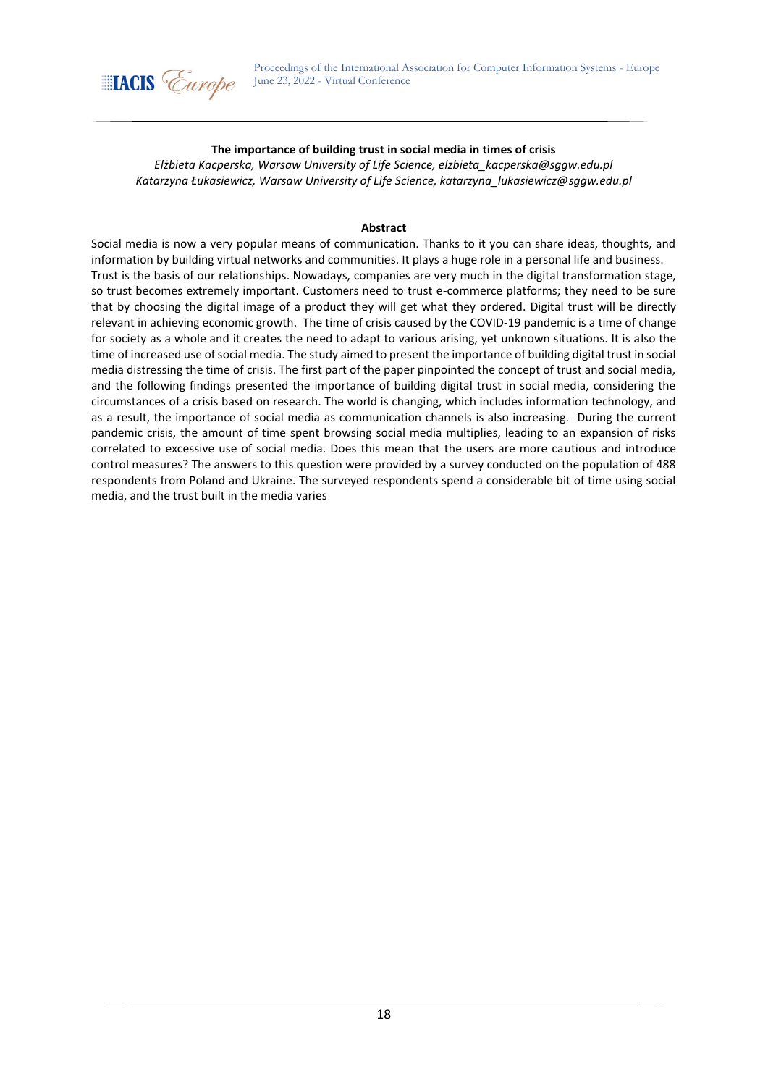

## **The importance of building trust in social media in times of crisis**

*Elżbieta Kacperska, Warsaw University of Life Science, elzbieta\_kacperska@sggw.edu.pl Katarzyna Łukasiewicz, Warsaw University of Life Science, katarzyna\_lukasiewicz@sggw.edu.pl*

### **Abstract**

Social media is now a very popular means of communication. Thanks to it you can share ideas, thoughts, and information by building virtual networks and communities. It plays a huge role in a personal life and business. Trust is the basis of our relationships. Nowadays, companies are very much in the digital transformation stage, so trust becomes extremely important. Customers need to trust e-commerce platforms; they need to be sure that by choosing the digital image of a product they will get what they ordered. Digital trust will be directly relevant in achieving economic growth. The time of crisis caused by the COVID-19 pandemic is a time of change for society as a whole and it creates the need to adapt to various arising, yet unknown situations. It is also the time of increased use of social media. The study aimed to present the importance of building digital trust in social media distressing the time of crisis. The first part of the paper pinpointed the concept of trust and social media, and the following findings presented the importance of building digital trust in social media, considering the circumstances of a crisis based on research. The world is changing, which includes information technology, and as a result, the importance of social media as communication channels is also increasing. During the current pandemic crisis, the amount of time spent browsing social media multiplies, leading to an expansion of risks correlated to excessive use of social media. Does this mean that the users are more cautious and introduce control measures? The answers to this question were provided by a survey conducted on the population of 488 respondents from Poland and Ukraine. The surveyed respondents spend a considerable bit of time using social media, and the trust built in the media varies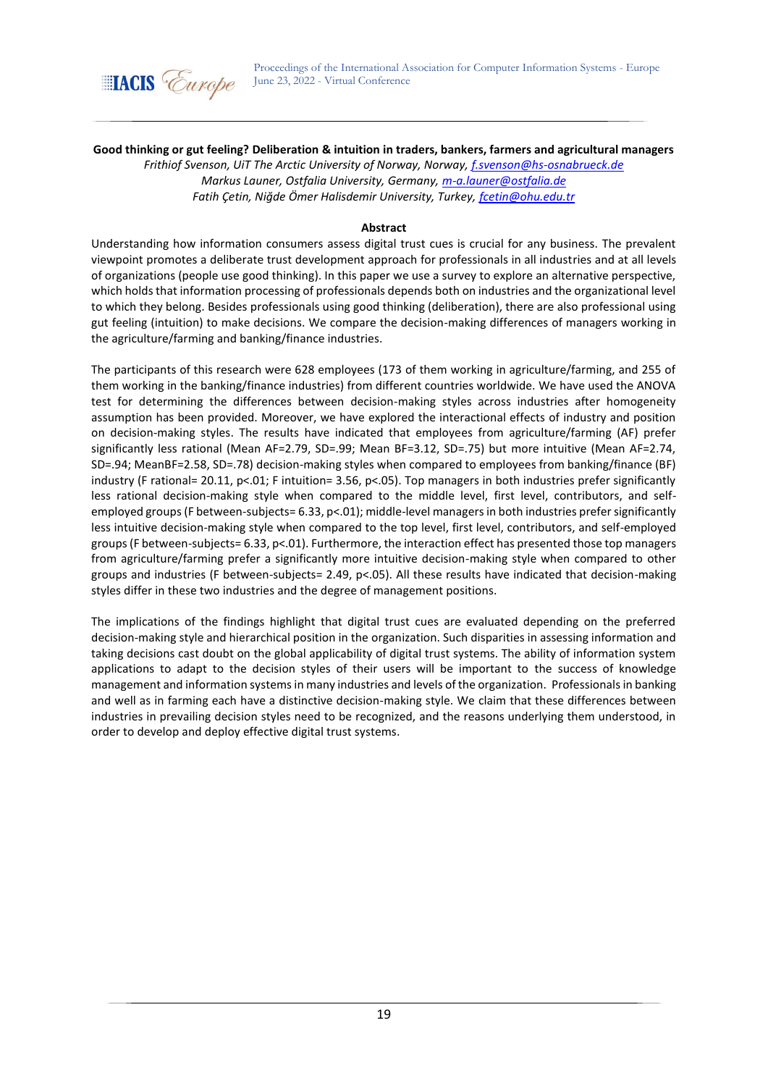

**Good thinking or gut feeling? Deliberation & intuition in traders, bankers, farmers and agricultural managers**

*Frithiof Svenson, UiT The Arctic University of Norway, Norway[, f.svenson@hs-osnabrueck.de](mailto:f.svenson@hs-osnabrueck.de) Markus Launer, Ostfalia University, Germany, [m-a.launer@ostfalia.de](mailto:m-a.launer@ostfalia.de) Fatih Çetin, Niğde Ömer Halisdemir University, Turkey, [fcetin@ohu.edu.tr](mailto:fcetin@ohu.edu.tr)*

### **Abstract**

Understanding how information consumers assess digital trust cues is crucial for any business. The prevalent viewpoint promotes a deliberate trust development approach for professionals in all industries and at all levels of organizations (people use good thinking). In this paper we use a survey to explore an alternative perspective, which holds that information processing of professionals depends both on industries and the organizational level to which they belong. Besides professionals using good thinking (deliberation), there are also professional using gut feeling (intuition) to make decisions. We compare the decision-making differences of managers working in the agriculture/farming and banking/finance industries.

The participants of this research were 628 employees (173 of them working in agriculture/farming, and 255 of them working in the banking/finance industries) from different countries worldwide. We have used the ANOVA test for determining the differences between decision-making styles across industries after homogeneity assumption has been provided. Moreover, we have explored the interactional effects of industry and position on decision-making styles. The results have indicated that employees from agriculture/farming (AF) prefer significantly less rational (Mean AF=2.79, SD=.99; Mean BF=3.12, SD=.75) but more intuitive (Mean AF=2.74, SD=.94; MeanBF=2.58, SD=.78) decision-making styles when compared to employees from banking/finance (BF) industry (F rational= 20.11, p<.01; F intuition= 3.56, p<.05). Top managers in both industries prefer significantly less rational decision-making style when compared to the middle level, first level, contributors, and selfemployed groups (F between-subjects= 6.33, p<.01); middle-level managers in both industries prefer significantly less intuitive decision-making style when compared to the top level, first level, contributors, and self-employed groups (F between-subjects= 6.33, p<.01). Furthermore, the interaction effect has presented those top managers from agriculture/farming prefer a significantly more intuitive decision-making style when compared to other groups and industries (F between-subjects= 2.49, p<.05). All these results have indicated that decision-making styles differ in these two industries and the degree of management positions.

The implications of the findings highlight that digital trust cues are evaluated depending on the preferred decision-making style and hierarchical position in the organization. Such disparities in assessing information and taking decisions cast doubt on the global applicability of digital trust systems. The ability of information system applications to adapt to the decision styles of their users will be important to the success of knowledge management and information systems in many industries and levels of the organization. Professionals in banking and well as in farming each have a distinctive decision-making style. We claim that these differences between industries in prevailing decision styles need to be recognized, and the reasons underlying them understood, in order to develop and deploy effective digital trust systems.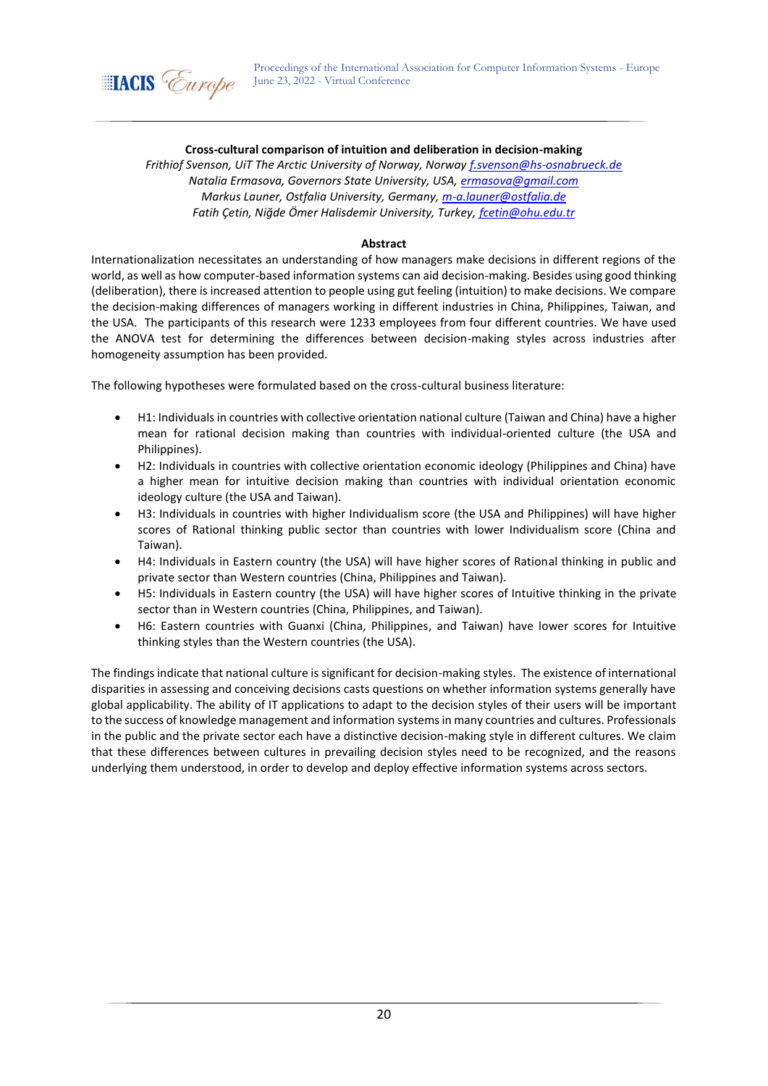

## **Cross-cultural comparison of intuition and deliberation in decision-making**

*Frithiof Svenson, UiT The Arctic University of Norway, Norway [f.svenson@hs-osnabrueck.de](mailto:f.svenson@hs-osnabrueck.de) Natalia Ermasova, Governors State University, USA, [ermasova@gmail.com](mailto:ermasova@gmail.com) Markus Launer, Ostfalia University, Germany, [m-a.launer@ostfalia.de](mailto:m-a.launer@ostfalia.de) Fatih Çetin, Niğde Ömer Halisdemir University, Turkey, [fcetin@ohu.edu.tr](mailto:fcetin@ohu.edu.tr)*

### **Abstract**

Internationalization necessitates an understanding of how managers make decisions in different regions of the world, as well as how computer-based information systems can aid decision-making. Besides using good thinking (deliberation), there is increased attention to people using gut feeling (intuition) to make decisions. We compare the decision-making differences of managers working in different industries in China, Philippines, Taiwan, and the USA. The participants of this research were 1233 employees from four different countries. We have used the ANOVA test for determining the differences between decision-making styles across industries after homogeneity assumption has been provided.

The following hypotheses were formulated based on the cross-cultural business literature:

- H1: Individuals in countries with collective orientation national culture (Taiwan and China) have a higher mean for rational decision making than countries with individual-oriented culture (the USA and Philippines).
- H2: Individuals in countries with collective orientation economic ideology (Philippines and China) have a higher mean for intuitive decision making than countries with individual orientation economic ideology culture (the USA and Taiwan).
- H3: Individuals in countries with higher Individualism score (the USA and Philippines) will have higher scores of Rational thinking public sector than countries with lower Individualism score (China and Taiwan).
- H4: Individuals in Eastern country (the USA) will have higher scores of Rational thinking in public and private sector than Western countries (China, Philippines and Taiwan).
- H5: Individuals in Eastern country (the USA) will have higher scores of Intuitive thinking in the private sector than in Western countries (China, Philippines, and Taiwan).
- H6: Eastern countries with Guanxi (China, Philippines, and Taiwan) have lower scores for Intuitive thinking styles than the Western countries (the USA).

The findings indicate that national culture is significant for decision-making styles. The existence of international disparities in assessing and conceiving decisions casts questions on whether information systems generally have global applicability. The ability of IT applications to adapt to the decision styles of their users will be important to the success of knowledge management and information systems in many countries and cultures. Professionals in the public and the private sector each have a distinctive decision-making style in different cultures. We claim that these differences between cultures in prevailing decision styles need to be recognized, and the reasons underlying them understood, in order to develop and deploy effective information systems across sectors.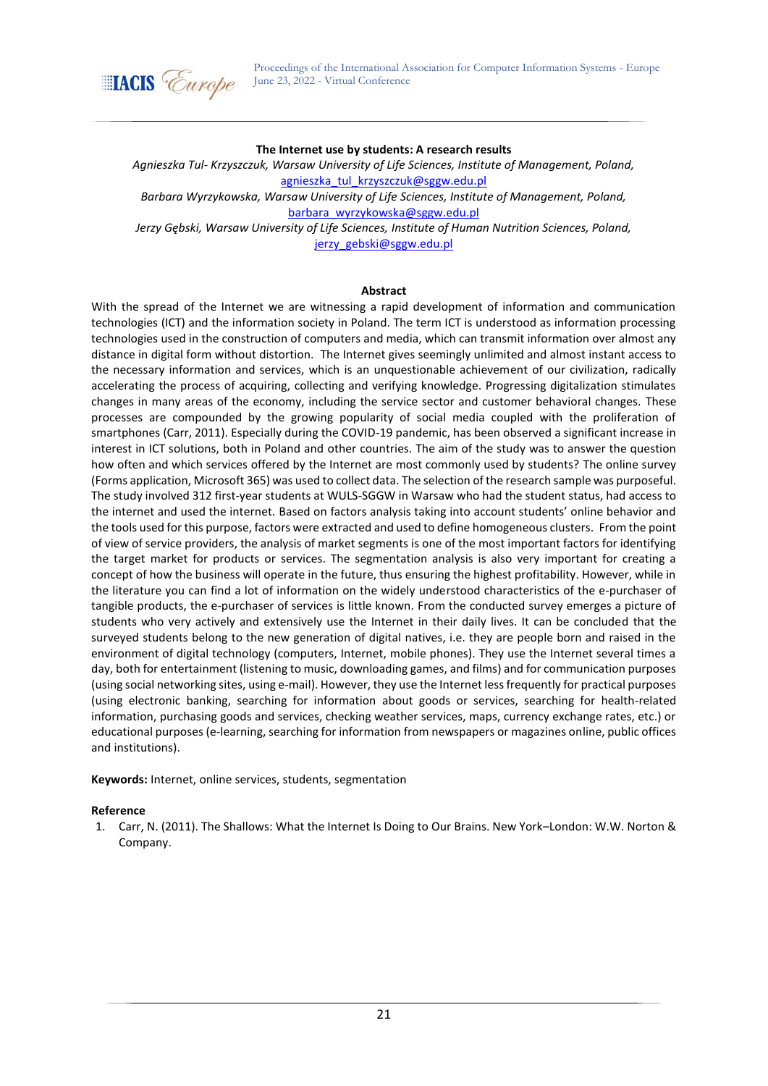

#### **The Internet use by students: A research results**

*Agnieszka Tul- Krzyszczuk, Warsaw University of Life Sciences, Institute of Management, Poland,*  agnieszka tul krzyszczuk@sggw.edu.pl

*Barbara Wyrzykowska, Warsaw University of Life Sciences, Institute of Management, Poland,*  [barbara\\_wyrzykowska@sggw.edu.pl](mailto:barbara_wyrzykowska@sggw.edu.pl)

*Jerzy Gębski, Warsaw University of Life Sciences, Institute of Human Nutrition Sciences, Poland,*  [jerzy\\_gebski@sggw.edu.pl](mailto:jerzy_gebski@sggw.edu.pl)

#### **Abstract**

With the spread of the Internet we are witnessing a rapid development of information and communication technologies (ICT) and the information society in Poland. The term ICT is understood as information processing technologies used in the construction of computers and media, which can transmit information over almost any distance in digital form without distortion. The Internet gives seemingly unlimited and almost instant access to the necessary information and services, which is an unquestionable achievement of our civilization, radically accelerating the process of acquiring, collecting and verifying knowledge. Progressing digitalization stimulates changes in many areas of the economy, including the service sector and customer behavioral changes. These processes are compounded by the growing popularity of social media coupled with the proliferation of smartphones (Carr, 2011). Especially during the COVID-19 pandemic, has been observed a significant increase in interest in ICT solutions, both in Poland and other countries. The aim of the study was to answer the question how often and which services offered by the Internet are most commonly used by students? The online survey (Forms application, Microsoft 365) was used to collect data. The selection of the research sample was purposeful. The study involved 312 first-year students at WULS-SGGW in Warsaw who had the student status, had access to the internet and used the internet. Based on factors analysis taking into account students' online behavior and the tools used for this purpose, factors were extracted and used to define homogeneous clusters. From the point of view of service providers, the analysis of market segments is one of the most important factors for identifying the target market for products or services. The segmentation analysis is also very important for creating a concept of how the business will operate in the future, thus ensuring the highest profitability. However, while in the literature you can find a lot of information on the widely understood characteristics of the e-purchaser of tangible products, the e-purchaser of services is little known. From the conducted survey emerges a picture of students who very actively and extensively use the Internet in their daily lives. It can be concluded that the surveyed students belong to the new generation of digital natives, i.e. they are people born and raised in the environment of digital technology (computers, Internet, mobile phones). They use the Internet several times a day, both for entertainment (listening to music, downloading games, and films) and for communication purposes (using social networking sites, using e-mail). However, they use the Internet less frequently for practical purposes (using electronic banking, searching for information about goods or services, searching for health-related information, purchasing goods and services, checking weather services, maps, currency exchange rates, etc.) or educational purposes (e-learning, searching for information from newspapers or magazines online, public offices and institutions).

**Keywords:** Internet, online services, students, segmentation

### **Reference**

1. Carr, N. (2011). The Shallows: What the Internet Is Doing to Our Brains. New York–London: W.W. Norton & Company.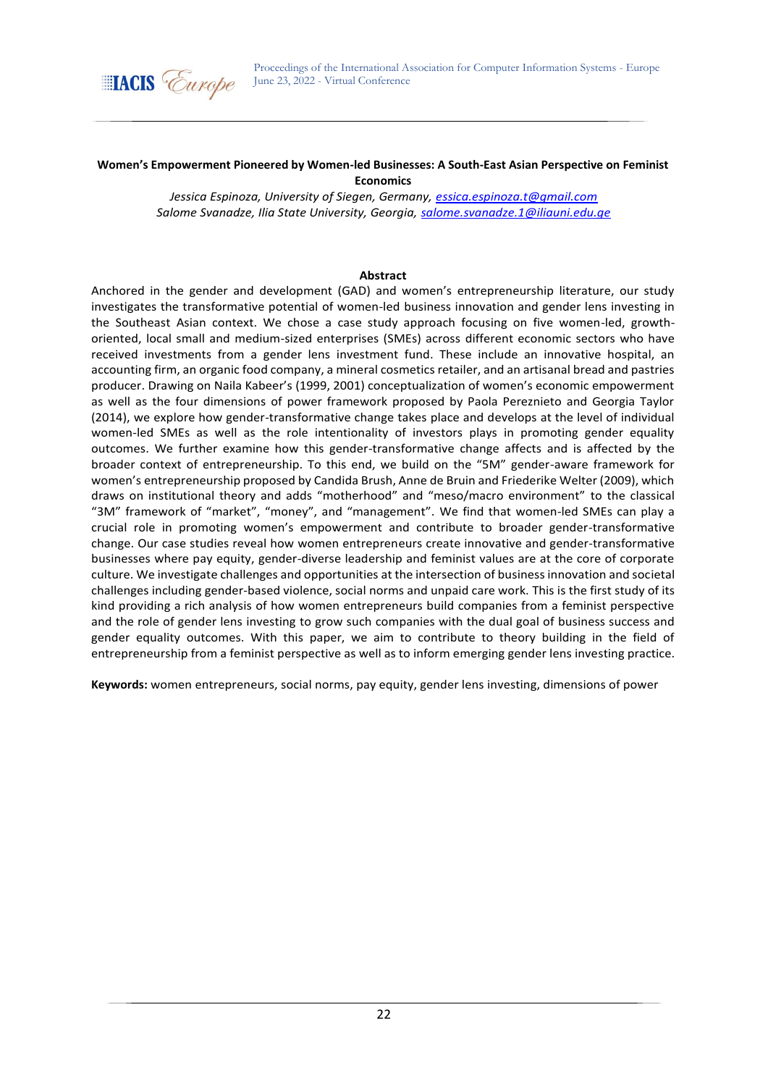

#### **Women's Empowerment Pioneered by Women-led Businesses: A South-East Asian Perspective on Feminist Economics**

*Jessica Espinoza, University of Siegen, Germany, [essica.espinoza.t@gmail.com](mailto:jessica.espinoza.t@gmail.com) Salome Svanadze, Ilia State University, Georgia, [salome.svanadze.1@iliauni.edu.ge](mailto:salome.svanadze.1@iliauni.edu.ge)*

### **Abstract**

Anchored in the gender and development (GAD) and women's entrepreneurship literature, our study investigates the transformative potential of women-led business innovation and gender lens investing in the Southeast Asian context. We chose a case study approach focusing on five women-led, growthoriented, local small and medium-sized enterprises (SMEs) across different economic sectors who have received investments from a gender lens investment fund. These include an innovative hospital, an accounting firm, an organic food company, a mineral cosmetics retailer, and an artisanal bread and pastries producer. Drawing on Naila Kabeer's (1999, 2001) conceptualization of women's economic empowerment as well as the four dimensions of power framework proposed by Paola Pereznieto and Georgia Taylor (2014), we explore how gender-transformative change takes place and develops at the level of individual women-led SMEs as well as the role intentionality of investors plays in promoting gender equality outcomes. We further examine how this gender-transformative change affects and is affected by the broader context of entrepreneurship. To this end, we build on the "5M" gender-aware framework for women's entrepreneurship proposed by Candida Brush, Anne de Bruin and Friederike Welter (2009), which draws on institutional theory and adds "motherhood" and "meso/macro environment" to the classical "3M" framework of "market", "money", and "management". We find that women-led SMEs can play a crucial role in promoting women's empowerment and contribute to broader gender-transformative change. Our case studies reveal how women entrepreneurs create innovative and gender-transformative businesses where pay equity, gender-diverse leadership and feminist values are at the core of corporate culture. We investigate challenges and opportunities at the intersection of business innovation and societal challenges including gender-based violence, social norms and unpaid care work. This is the first study of its kind providing a rich analysis of how women entrepreneurs build companies from a feminist perspective and the role of gender lens investing to grow such companies with the dual goal of business success and gender equality outcomes. With this paper, we aim to contribute to theory building in the field of entrepreneurship from a feminist perspective as well as to inform emerging gender lens investing practice.

**Keywords:** women entrepreneurs, social norms, pay equity, gender lens investing, dimensions of power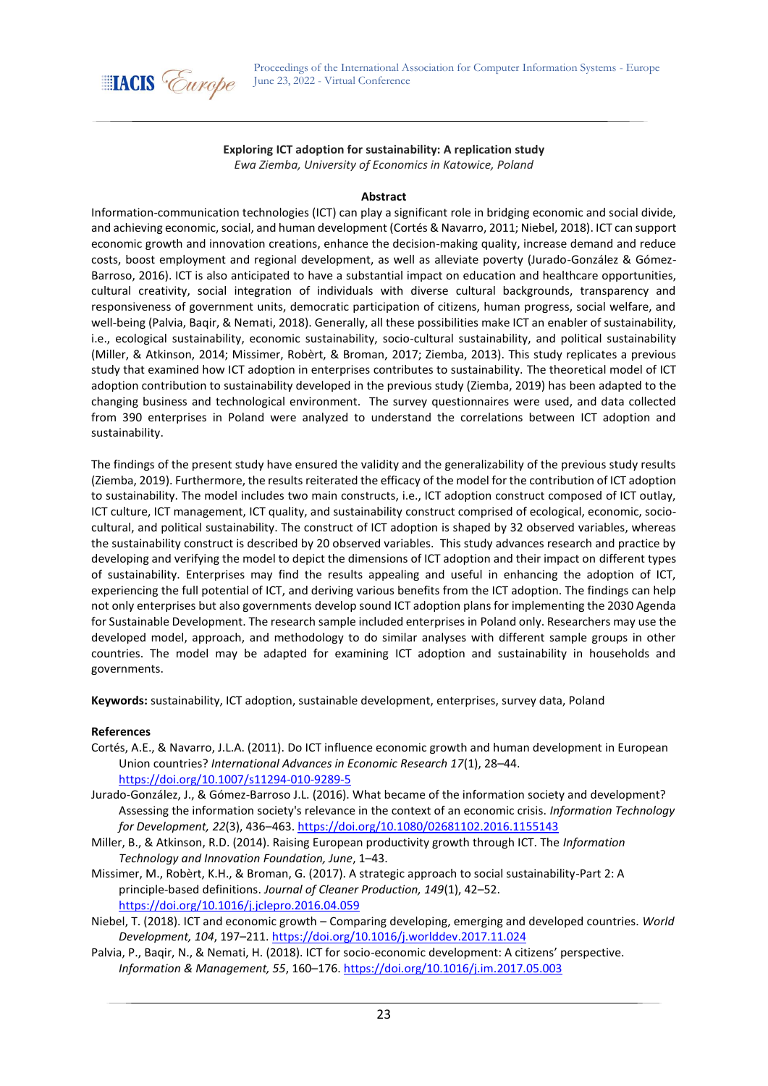

## **Exploring ICT adoption for sustainability: A replication study** *Ewa Ziemba, University of Economics in Katowice, Poland*

#### **Abstract**

Information-communication technologies (ICT) can play a significant role in bridging economic and social divide, and achieving economic, social, and human development (Cortés & Navarro, 2011; Niebel, 2018). ICT can support economic growth and innovation creations, enhance the decision-making quality, increase demand and reduce costs, boost employment and regional development, as well as alleviate poverty (Jurado-González & Gómez-Barroso, 2016). ICT is also anticipated to have a substantial impact on education and healthcare opportunities, cultural creativity, social integration of individuals with diverse cultural backgrounds, transparency and responsiveness of government units, democratic participation of citizens, human progress, social welfare, and well-being (Palvia, Baqir, & Nemati, 2018). Generally, all these possibilities make ICT an enabler of sustainability, i.e., ecological sustainability, economic sustainability, socio-cultural sustainability, and political sustainability (Miller, & Atkinson, 2014; Missimer, Robèrt, & Broman, 2017; Ziemba, 2013). This study replicates a previous study that examined how ICT adoption in enterprises contributes to sustainability. The theoretical model of ICT adoption contribution to sustainability developed in the previous study (Ziemba, 2019) has been adapted to the changing business and technological environment. The survey questionnaires were used, and data collected from 390 enterprises in Poland were analyzed to understand the correlations between ICT adoption and sustainability.

The findings of the present study have ensured the validity and the generalizability of the previous study results (Ziemba, 2019). Furthermore, the results reiterated the efficacy of the model for the contribution of ICT adoption to sustainability. The model includes two main constructs, i.e., ICT adoption construct composed of ICT outlay, ICT culture, ICT management, ICT quality, and sustainability construct comprised of ecological, economic, sociocultural, and political sustainability. The construct of ICT adoption is shaped by 32 observed variables, whereas the sustainability construct is described by 20 observed variables. This study advances research and practice by developing and verifying the model to depict the dimensions of ICT adoption and their impact on different types of sustainability. Enterprises may find the results appealing and useful in enhancing the adoption of ICT, experiencing the full potential of ICT, and deriving various benefits from the ICT adoption. The findings can help not only enterprises but also governments develop sound ICT adoption plans for implementing the 2030 Agenda for Sustainable Development. The research sample included enterprises in Poland only. Researchers may use the developed model, approach, and methodology to do similar analyses with different sample groups in other countries. The model may be adapted for examining ICT adoption and sustainability in households and governments.

**Keywords:** sustainability, ICT adoption, sustainable development, enterprises, survey data, Poland

- Cortés, A.E., & Navarro, J.L.A. (2011). Do ICT influence economic growth and human development in European Union countries? *International Advances in Economic Research 17*(1), 28–44. <https://doi.org/10.1007/s11294-010-9289-5>
- Jurado-González, J., & Gómez-Barroso J.L. (2016). What became of the information society and development? Assessing the information society's relevance in the context of an economic crisis. *Information Technology for Development, 22*(3), 436–463.<https://doi.org/10.1080/02681102.2016.1155143>
- Miller, B., & Atkinson, R.D. (2014). Raising European productivity growth through ICT. The *Information Technology and Innovation Foundation, June*, 1–43.
- Missimer, M., Robèrt, K.H., & Broman, G. (2017). A strategic approach to social sustainability-Part 2: A principle-based definitions. *Journal of Cleaner Production, 149*(1), 42–52. <https://doi.org/10.1016/j.jclepro.2016.04.059>
- Niebel, T. (2018). ICT and economic growth Comparing developing, emerging and developed countries. *World Development, 104*, 197–211.<https://doi.org/10.1016/j.worlddev.2017.11.024>
- Palvia, P., Baqir, N., & Nemati, H. (2018). ICT for socio-economic development: A citizens' perspective. *Information & Management, 55*, 160–176[. https://doi.org/10.1016/j.im.2017.05.003](https://doi.org/10.1016/j.im.2017.05.003)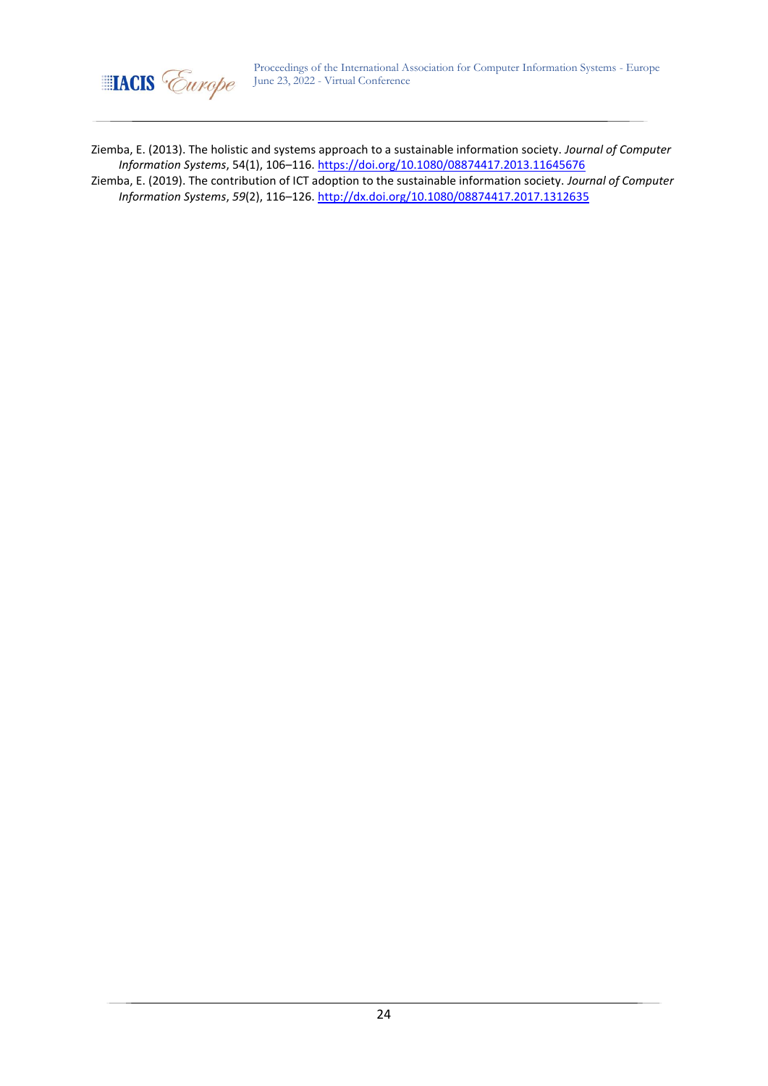

Ziemba, E. (2013). The holistic and systems approach to a sustainable information society. *Journal of Computer Information Systems*, 54(1), 106–116[. https://doi.org/10.1080/08874417.2013.11645676](https://doi.org/10.1080/08874417.2013.11645676)

Ziemba, E. (2019). The contribution of ICT adoption to the sustainable information society. *Journal of Computer Information Systems*, *59*(2), 116–126[. http://dx.doi.org/10.1080/08874417.2017.1312635](http://dx.doi.org/10.1080/08874417.2017.1312635)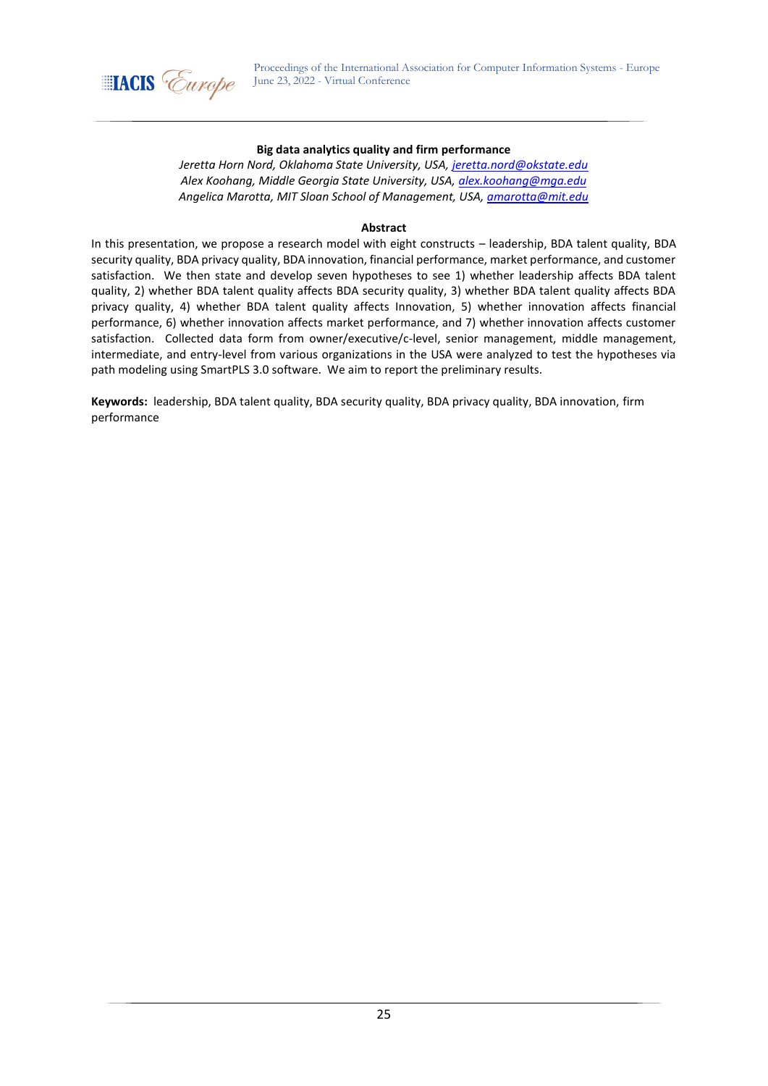

### **Big data analytics quality and firm performance**

*Jeretta Horn Nord, Oklahoma State University, USA, [jeretta.nord@okstate.edu](mailto:jeretta.nord@okstate.edu) Alex Koohang, Middle Georgia State University, USA[, alex.koohang@mga.edu](mailto:alex.koohang@mga.edu) Angelica Marotta, MIT Sloan School of Management, USA, [amarotta@mit.edu](mailto:amarotta@mit.edu)*

### **Abstract**

In this presentation, we propose a research model with eight constructs – leadership, BDA talent quality, BDA security quality, BDA privacy quality, BDA innovation, financial performance, market performance, and customer satisfaction. We then state and develop seven hypotheses to see 1) whether leadership affects BDA talent quality, 2) whether BDA talent quality affects BDA security quality, 3) whether BDA talent quality affects BDA privacy quality, 4) whether BDA talent quality affects Innovation, 5) whether innovation affects financial performance, 6) whether innovation affects market performance, and 7) whether innovation affects customer satisfaction. Collected data form from owner/executive/c-level, senior management, middle management, intermediate, and entry-level from various organizations in the USA were analyzed to test the hypotheses via path modeling using SmartPLS 3.0 software. We aim to report the preliminary results.

**Keywords:** leadership, BDA talent quality, BDA security quality, BDA privacy quality, BDA innovation, firm performance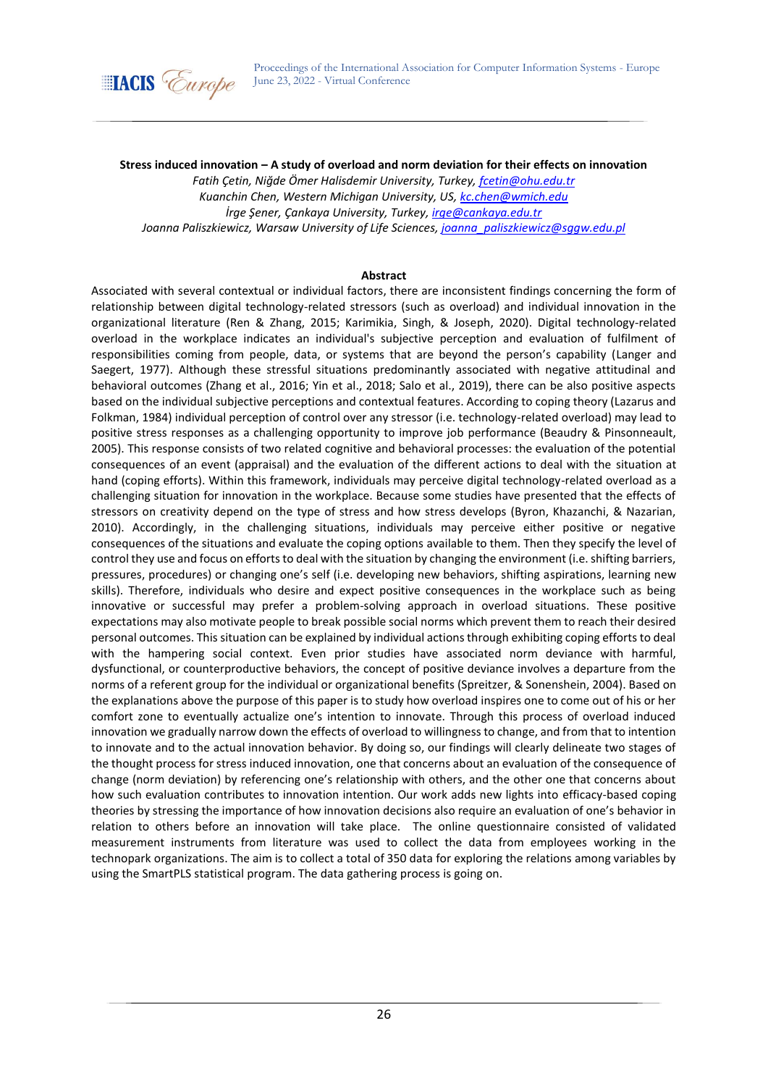

**Stress induced innovation – A study of overload and norm deviation for their effects on innovation**

*Fatih Çetin, Niğde Ömer Halisdemir University, Turkey, [fcetin@ohu.edu.tr](mailto:fcetin@ohu.edu.tr) Kuanchin Chen, Western Michigan University, US, [kc.chen@wmich.edu](mailto:kc.chen@wmich.edu) İrge Şener, Çankaya University, Turkey, [irge@cankaya.edu.tr](mailto:irge@cankaya.edu.tr) Joanna Paliszkiewicz, Warsaw University of Life Sciences, [joanna\\_paliszkiewicz@sggw.edu.pl](mailto:joanna_paliszkiewicz@sggw.edu.pl)*

### **Abstract**

Associated with several contextual or individual factors, there are inconsistent findings concerning the form of relationship between digital technology-related stressors (such as overload) and individual innovation in the organizational literature (Ren & Zhang, 2015; Karimikia, Singh, & Joseph, 2020). Digital technology-related overload in the workplace indicates an individual's subjective perception and evaluation of fulfilment of responsibilities coming from people, data, or systems that are beyond the person's capability (Langer and Saegert, 1977). Although these stressful situations predominantly associated with negative attitudinal and behavioral outcomes (Zhang et al., 2016; Yin et al., 2018; Salo et al., 2019), there can be also positive aspects based on the individual subjective perceptions and contextual features. According to coping theory (Lazarus and Folkman, 1984) individual perception of control over any stressor (i.e. technology-related overload) may lead to positive stress responses as a challenging opportunity to improve job performance (Beaudry & Pinsonneault, 2005). This response consists of two related cognitive and behavioral processes: the evaluation of the potential consequences of an event (appraisal) and the evaluation of the different actions to deal with the situation at hand (coping efforts). Within this framework, individuals may perceive digital technology-related overload as a challenging situation for innovation in the workplace. Because some studies have presented that the effects of stressors on creativity depend on the type of stress and how stress develops (Byron, Khazanchi, & Nazarian, 2010). Accordingly, in the challenging situations, individuals may perceive either positive or negative consequences of the situations and evaluate the coping options available to them. Then they specify the level of control they use and focus on efforts to deal with the situation by changing the environment (i.e. shifting barriers, pressures, procedures) or changing one's self (i.e. developing new behaviors, shifting aspirations, learning new skills). Therefore, individuals who desire and expect positive consequences in the workplace such as being innovative or successful may prefer a problem-solving approach in overload situations. These positive expectations may also motivate people to break possible social norms which prevent them to reach their desired personal outcomes. This situation can be explained by individual actions through exhibiting coping efforts to deal with the hampering social context. Even prior studies have associated norm deviance with harmful, dysfunctional, or counterproductive behaviors, the concept of positive deviance involves a departure from the norms of a referent group for the individual or organizational benefits (Spreitzer, & Sonenshein, 2004). Based on the explanations above the purpose of this paper is to study how overload inspires one to come out of his or her comfort zone to eventually actualize one's intention to innovate. Through this process of overload induced innovation we gradually narrow down the effects of overload to willingness to change, and from that to intention to innovate and to the actual innovation behavior. By doing so, our findings will clearly delineate two stages of the thought process for stress induced innovation, one that concerns about an evaluation of the consequence of change (norm deviation) by referencing one's relationship with others, and the other one that concerns about how such evaluation contributes to innovation intention. Our work adds new lights into efficacy-based coping theories by stressing the importance of how innovation decisions also require an evaluation of one's behavior in relation to others before an innovation will take place. The online questionnaire consisted of validated measurement instruments from literature was used to collect the data from employees working in the technopark organizations. The aim is to collect a total of 350 data for exploring the relations among variables by using the SmartPLS statistical program. The data gathering process is going on.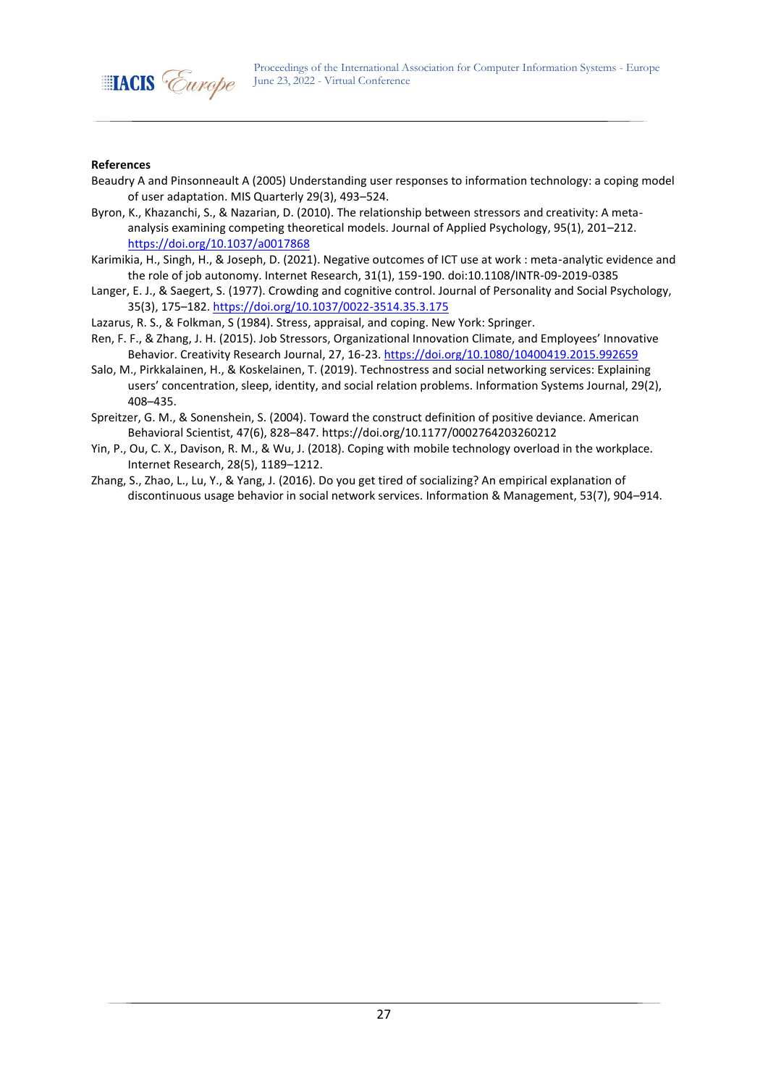

- Beaudry A and Pinsonneault A (2005) Understanding user responses to information technology: a coping model of user adaptation. MIS Quarterly 29(3), 493–524.
- Byron, K., Khazanchi, S., & Nazarian, D. (2010). The relationship between stressors and creativity: A metaanalysis examining competing theoretical models. Journal of Applied Psychology, 95(1), 201–212. <https://doi.org/10.1037/a0017868>
- Karimikia, H., Singh, H., & Joseph, D. (2021). Negative outcomes of ICT use at work : meta-analytic evidence and the role of job autonomy. Internet Research, 31(1), 159-190. doi:10.1108/INTR-09-2019-0385
- Langer, E. J., & Saegert, S. (1977). Crowding and cognitive control. Journal of Personality and Social Psychology, 35(3), 175–182.<https://doi.org/10.1037/0022-3514.35.3.175>
- Lazarus, R. S., & Folkman, S (1984). Stress, appraisal, and coping. New York: Springer.
- Ren, F. F., & Zhang, J. H. (2015). Job Stressors, Organizational Innovation Climate, and Employees' Innovative Behavior. Creativity Research Journal, 27, 16-23.<https://doi.org/10.1080/10400419.2015.992659>
- Salo, M., Pirkkalainen, H., & Koskelainen, T. (2019). Technostress and social networking services: Explaining users' concentration, sleep, identity, and social relation problems. Information Systems Journal, 29(2), 408–435.
- Spreitzer, G. M., & Sonenshein, S. (2004). Toward the construct definition of positive deviance. American Behavioral Scientist, 47(6), 828–847. https://doi.org/10.1177/0002764203260212
- Yin, P., Ou, C. X., Davison, R. M., & Wu, J. (2018). Coping with mobile technology overload in the workplace. Internet Research, 28(5), 1189–1212.
- Zhang, S., Zhao, L., Lu, Y., & Yang, J. (2016). Do you get tired of socializing? An empirical explanation of discontinuous usage behavior in social network services. Information & Management, 53(7), 904–914.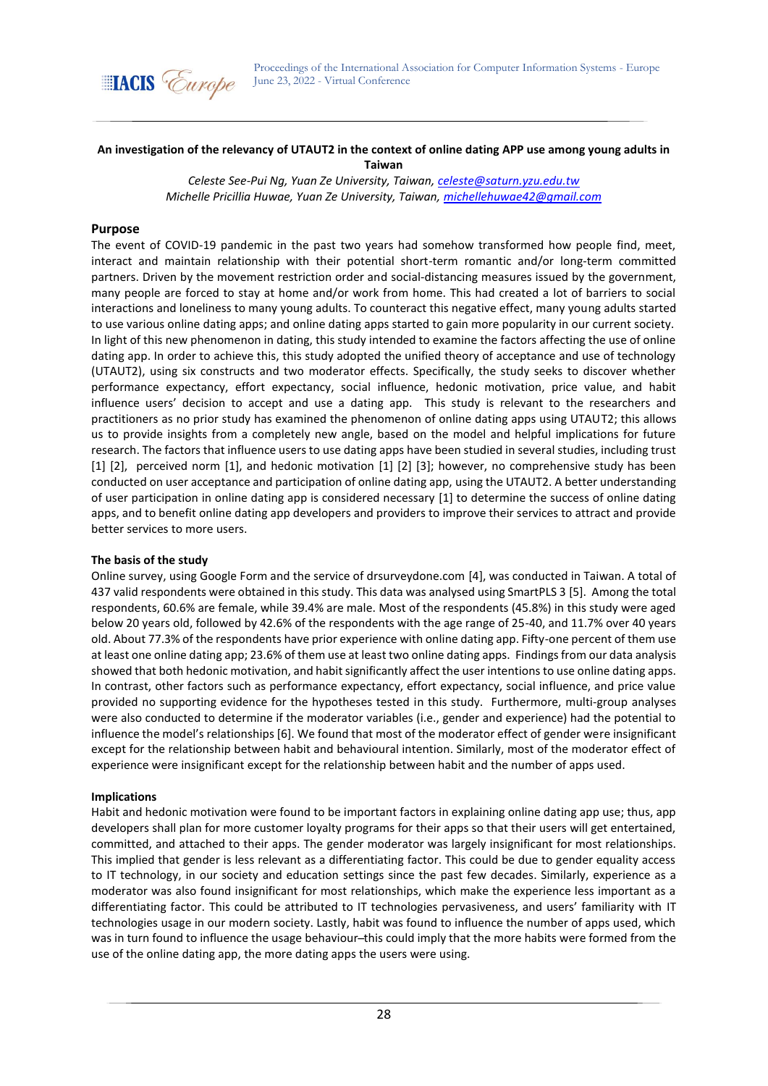

## **An investigation of the relevancy of UTAUT2 in the context of online dating APP use among young adults in Taiwan**

*Celeste See-Pui Ng, Yuan Ze University, Taiwan[, celeste@saturn.yzu.edu.tw](mailto:celeste@saturn.yzu.edu.tw) Michelle Pricillia Huwae, Yuan Ze University, Taiwan, [michellehuwae42@gmail.com](mailto:michellehuwae42@gmail.com)*

### **Purpose**

The event of COVID-19 pandemic in the past two years had somehow transformed how people find, meet, interact and maintain relationship with their potential short-term romantic and/or long-term committed partners. Driven by the movement restriction order and social-distancing measures issued by the government, many people are forced to stay at home and/or work from home. This had created a lot of barriers to social interactions and loneliness to many young adults. To counteract this negative effect, many young adults started to use various online dating apps; and online dating apps started to gain more popularity in our current society. In light of this new phenomenon in dating, this study intended to examine the factors affecting the use of online dating app. In order to achieve this, this study adopted the unified theory of acceptance and use of technology (UTAUT2), using six constructs and two moderator effects. Specifically, the study seeks to discover whether performance expectancy, effort expectancy, social influence, hedonic motivation, price value, and habit influence users' decision to accept and use a dating app. This study is relevant to the researchers and practitioners as no prior study has examined the phenomenon of online dating apps using UTAUT2; this allows us to provide insights from a completely new angle, based on the model and helpful implications for future research. The factors that influence users to use dating apps have been studied in several studies, including trust [1] [2], perceived norm [1], and hedonic motivation [1] [2] [3]; however, no comprehensive study has been conducted on user acceptance and participation of online dating app, using the UTAUT2. A better understanding of user participation in online dating app is considered necessary [1] to determine the success of online dating apps, and to benefit online dating app developers and providers to improve their services to attract and provide better services to more users.

### **The basis of the study**

Online survey, using Google Form and the service of drsurveydone.com [4], was conducted in Taiwan. A total of 437 valid respondents were obtained in this study. This data was analysed using SmartPLS 3 [5]. Among the total respondents, 60.6% are female, while 39.4% are male. Most of the respondents (45.8%) in this study were aged below 20 years old, followed by 42.6% of the respondents with the age range of 25-40, and 11.7% over 40 years old. About 77.3% of the respondents have prior experience with online dating app. Fifty-one percent of them use at least one online dating app; 23.6% of them use at least two online dating apps. Findings from our data analysis showed that both hedonic motivation, and habit significantly affect the user intentions to use online dating apps. In contrast, other factors such as performance expectancy, effort expectancy, social influence, and price value provided no supporting evidence for the hypotheses tested in this study. Furthermore, multi-group analyses were also conducted to determine if the moderator variables (i.e., gender and experience) had the potential to influence the model's relationships [6]. We found that most of the moderator effect of gender were insignificant except for the relationship between habit and behavioural intention. Similarly, most of the moderator effect of experience were insignificant except for the relationship between habit and the number of apps used.

### **Implications**

Habit and hedonic motivation were found to be important factors in explaining online dating app use; thus, app developers shall plan for more customer loyalty programs for their apps so that their users will get entertained, committed, and attached to their apps. The gender moderator was largely insignificant for most relationships. This implied that gender is less relevant as a differentiating factor. This could be due to gender equality access to IT technology, in our society and education settings since the past few decades. Similarly, experience as a moderator was also found insignificant for most relationships, which make the experience less important as a differentiating factor. This could be attributed to IT technologies pervasiveness, and users' familiarity with IT technologies usage in our modern society. Lastly, habit was found to influence the number of apps used, which was in turn found to influence the usage behaviour-this could imply that the more habits were formed from the use of the online dating app, the more dating apps the users were using.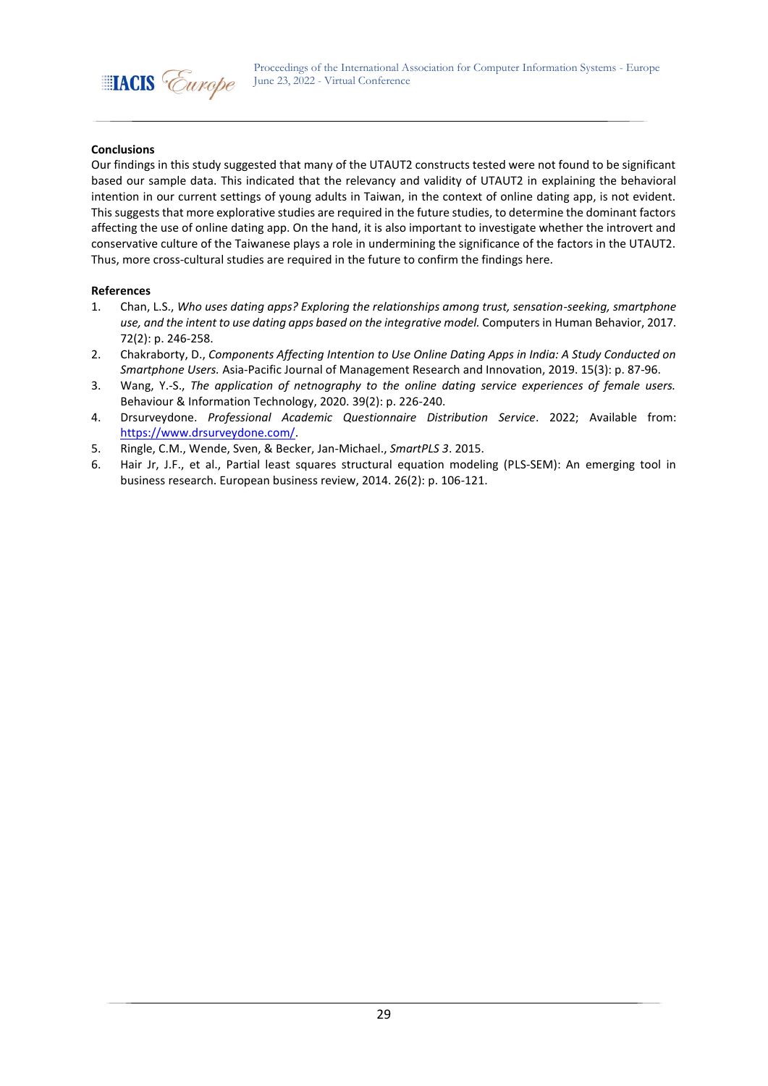

## **Conclusions**

Our findings in this study suggested that many of the UTAUT2 constructs tested were not found to be significant based our sample data. This indicated that the relevancy and validity of UTAUT2 in explaining the behavioral intention in our current settings of young adults in Taiwan, in the context of online dating app, is not evident. This suggests that more explorative studies are required in the future studies, to determine the dominant factors affecting the use of online dating app. On the hand, it is also important to investigate whether the introvert and conservative culture of the Taiwanese plays a role in undermining the significance of the factors in the UTAUT2. Thus, more cross-cultural studies are required in the future to confirm the findings here.

- 1. Chan, L.S., *Who uses dating apps? Exploring the relationships among trust, sensation-seeking, smartphone use, and the intent to use dating apps based on the integrative model.* Computers in Human Behavior, 2017. 72(2): p. 246-258.
- 2. Chakraborty, D., *Components Affecting Intention to Use Online Dating Apps in India: A Study Conducted on Smartphone Users.* Asia-Pacific Journal of Management Research and Innovation, 2019. 15(3): p. 87-96.
- 3. Wang, Y.-S., *The application of netnography to the online dating service experiences of female users.* Behaviour & Information Technology, 2020. 39(2): p. 226-240.
- 4. Drsurveydone. *Professional Academic Questionnaire Distribution Service*. 2022; Available from: [https://www.drsurveydone.com/.](https://www.drsurveydone.com/)
- 5. Ringle, C.M., Wende, Sven, & Becker, Jan-Michael., *SmartPLS 3*. 2015.
- 6. Hair Jr, J.F., et al., Partial least squares structural equation modeling (PLS-SEM): An emerging tool in business research. European business review, 2014. 26(2): p. 106-121.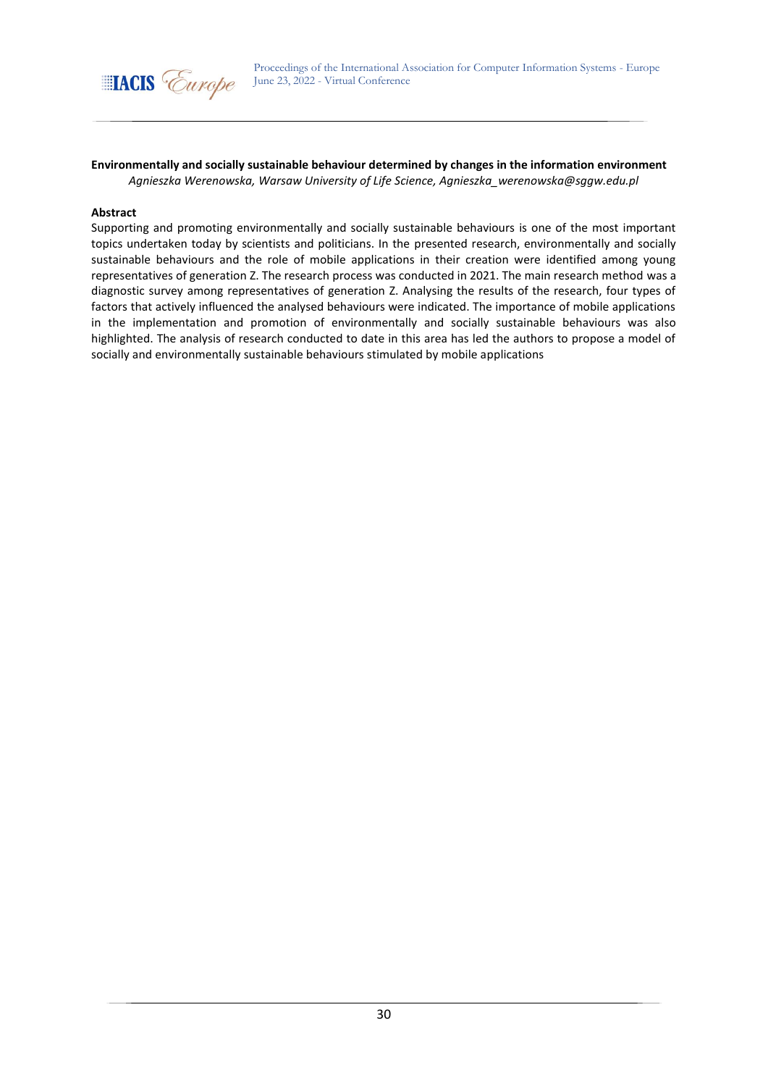

**Environmentally and socially sustainable behaviour determined by changes in the information environment** *Agnieszka Werenowska, Warsaw University of Life Science, Agnieszka\_werenowska@sggw.edu.pl*

#### **Abstract**

Supporting and promoting environmentally and socially sustainable behaviours is one of the most important topics undertaken today by scientists and politicians. In the presented research, environmentally and socially sustainable behaviours and the role of mobile applications in their creation were identified among young representatives of generation Z. The research process was conducted in 2021. The main research method was a diagnostic survey among representatives of generation Z. Analysing the results of the research, four types of factors that actively influenced the analysed behaviours were indicated. The importance of mobile applications in the implementation and promotion of environmentally and socially sustainable behaviours was also highlighted. The analysis of research conducted to date in this area has led the authors to propose a model of socially and environmentally sustainable behaviours stimulated by mobile applications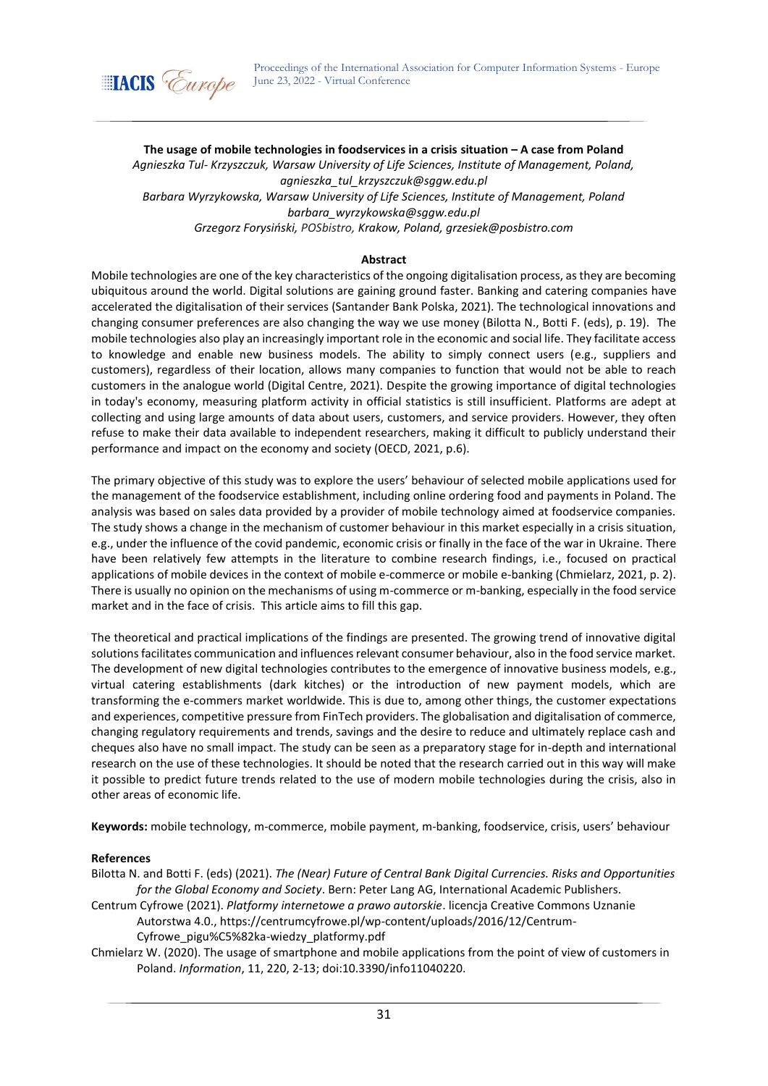

**The usage of mobile technologies in foodservices in a crisis situation – A case from Poland** *Agnieszka Tul- Krzyszczuk, Warsaw University of Life Sciences, Institute of Management, Poland, agnieszka\_tul\_krzyszczuk@sggw.edu.pl Barbara Wyrzykowska, Warsaw University of Life Sciences, Institute of Management, Poland barbara\_wyrzykowska@sggw.edu.pl Grzegorz Forysiński, POSbistro, Krakow, Poland, grzesiek@posbistro.com*

## **Abstract**

Mobile technologies are one of the key characteristics of the ongoing digitalisation process, as they are becoming ubiquitous around the world. Digital solutions are gaining ground faster. Banking and catering companies have accelerated the digitalisation of their services (Santander Bank Polska, 2021). The technological innovations and changing consumer preferences are also changing the way we use money (Bilotta N., Botti F. (eds), p. 19). The mobile technologies also play an increasingly important role in the economic and social life. They facilitate access to knowledge and enable new business models. The ability to simply connect users (e.g., suppliers and customers), regardless of their location, allows many companies to function that would not be able to reach customers in the analogue world (Digital Centre, 2021). Despite the growing importance of digital technologies in today's economy, measuring platform activity in official statistics is still insufficient. Platforms are adept at collecting and using large amounts of data about users, customers, and service providers. However, they often refuse to make their data available to independent researchers, making it difficult to publicly understand their performance and impact on the economy and society (OECD, 2021, p.6).

The primary objective of this study was to explore the users' behaviour of selected mobile applications used for the management of the foodservice establishment, including online ordering food and payments in Poland. The analysis was based on sales data provided by a provider of mobile technology aimed at foodservice companies. The study shows a change in the mechanism of customer behaviour in this market especially in a crisis situation, e.g., under the influence of the covid pandemic, economic crisis or finally in the face of the war in Ukraine. There have been relatively few attempts in the literature to combine research findings, i.e., focused on practical applications of mobile devices in the context of mobile e-commerce or mobile e-banking (Chmielarz, 2021, p. 2). There is usually no opinion on the mechanisms of using m-commerce or m-banking, especially in the food service market and in the face of crisis. This article aims to fill this gap.

The theoretical and practical implications of the findings are presented. The growing trend of innovative digital solutions facilitates communication and influences relevant consumer behaviour, also in the food service market. The development of new digital technologies contributes to the emergence of innovative business models, e.g., virtual catering establishments (dark kitches) or the introduction of new payment models, which are transforming the e-commers market worldwide. This is due to, among other things, the customer expectations and experiences, competitive pressure from FinTech providers. The globalisation and digitalisation of commerce, changing regulatory requirements and trends, savings and the desire to reduce and ultimately replace cash and cheques also have no small impact. The study can be seen as a preparatory stage for in-depth and international research on the use of these technologies. It should be noted that the research carried out in this way will make it possible to predict future trends related to the use of modern mobile technologies during the crisis, also in other areas of economic life.

**Keywords:** mobile technology, m-commerce, mobile payment, m-banking, foodservice, crisis, users' behaviour

### **References**

Bilotta N. and Botti F. (eds) (2021). *The (Near) Future of Central Bank Digital Currencies. Risks and Opportunities for the Global Economy and Society*. Bern: Peter Lang AG, International Academic Publishers.

Centrum Cyfrowe (2021). *Platformy internetowe a prawo autorskie*. licencja Creative Commons Uznanie Autorstwa 4.0., https://centrumcyfrowe.pl/wp-content/uploads/2016/12/Centrum-Cyfrowe\_pigu%C5%82ka-wiedzy\_platformy.pdf

Chmielarz W. (2020). The usage of smartphone and mobile applications from the point of view of customers in Poland. *Information*, 11, 220, 2-13; doi:10.3390/info11040220.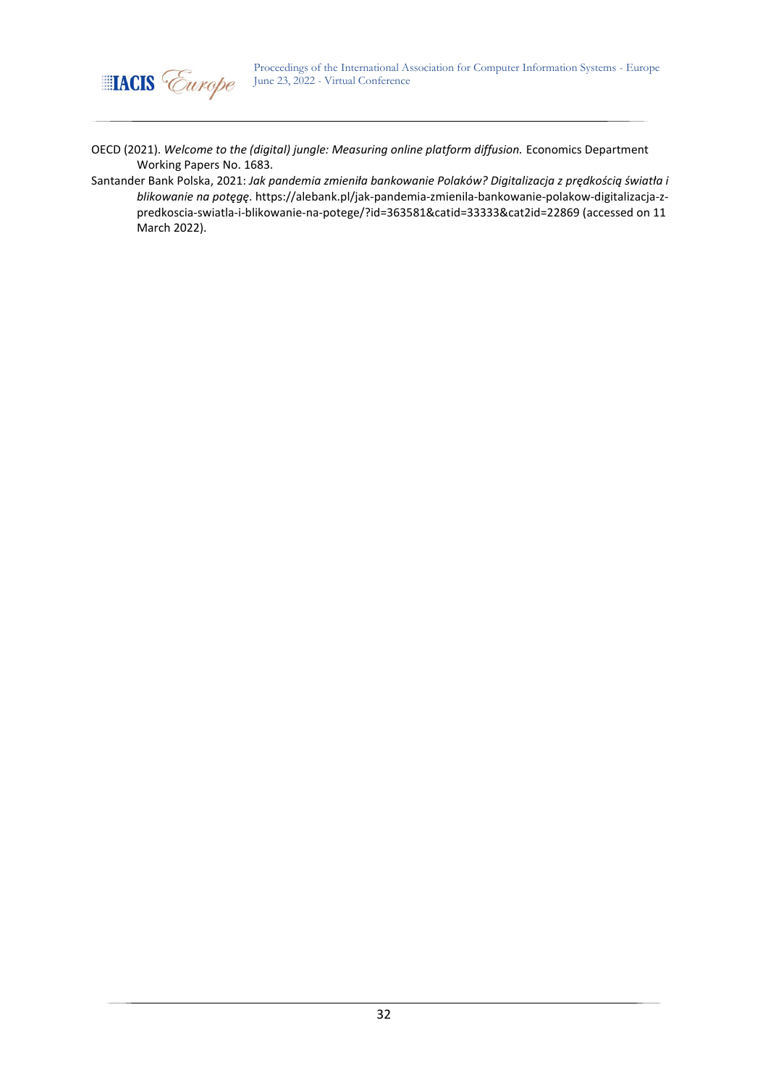

OECD (2021). *Welcome to the (digital) jungle: Measuring online platform diffusion.* Economics Department Working Papers No. 1683.

[Santander](https://alebank.pl/artykuly-autora/?authorcompany=Santander%20Bank%20Polska) Bank Polska, 2021: *Jak pandemia zmieniła bankowanie Polaków? Digitalizacja z prędkością światła i blikowanie na potęgę*. https://alebank.pl/jak-pandemia-zmienila-bankowanie-polakow-digitalizacja-zpredkoscia-swiatla-i-blikowanie-na-potege/?id=363581&catid=33333&cat2id=22869 (accessed on 11 March 2022).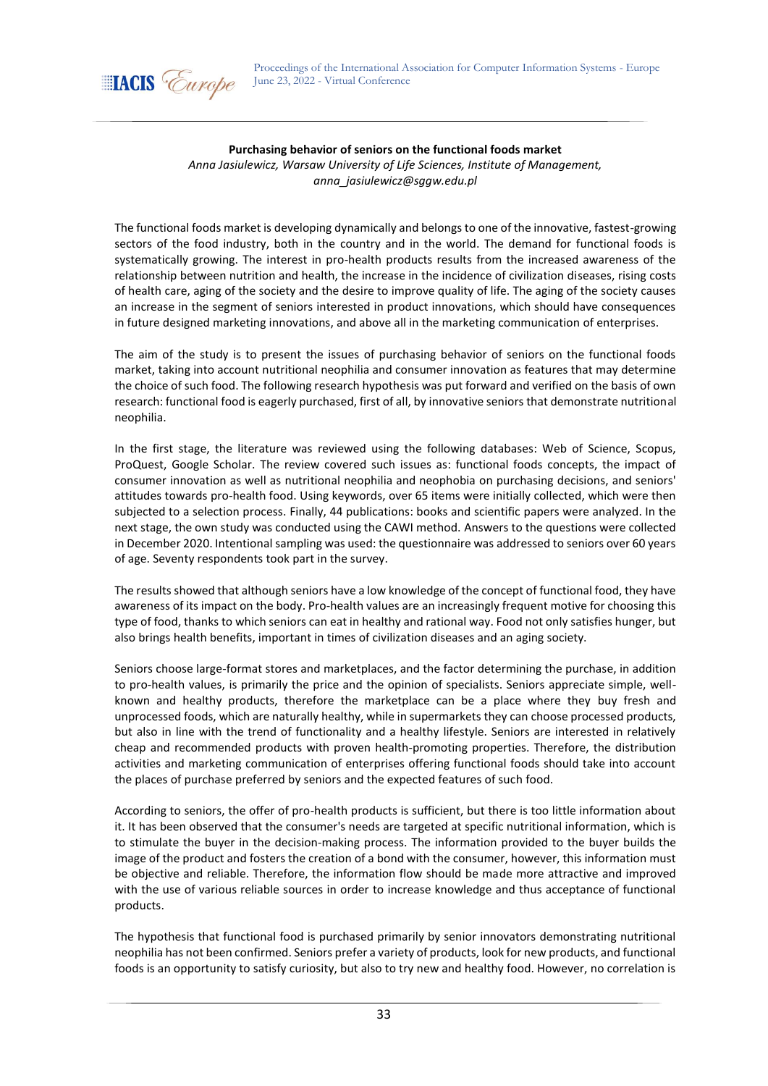

### **Purchasing behavior of seniors on the functional foods market**

*Anna Jasiulewicz, Warsaw University of Life Sciences, Institute of Management, anna\_jasiulewicz@sggw.edu.pl*

The functional foods market is developing dynamically and belongs to one of the innovative, fastest-growing sectors of the food industry, both in the country and in the world. The demand for functional foods is systematically growing. The interest in pro-health products results from the increased awareness of the relationship between nutrition and health, the increase in the incidence of civilization diseases, rising costs of health care, aging of the society and the desire to improve quality of life. The aging of the society causes an increase in the segment of seniors interested in product innovations, which should have consequences in future designed marketing innovations, and above all in the marketing communication of enterprises.

The aim of the study is to present the issues of purchasing behavior of seniors on the functional foods market, taking into account nutritional neophilia and consumer innovation as features that may determine the choice of such food. The following research hypothesis was put forward and verified on the basis of own research: functional food is eagerly purchased, first of all, by innovative seniors that demonstrate nutritional neophilia.

In the first stage, the literature was reviewed using the following databases: Web of Science, Scopus, ProQuest, Google Scholar. The review covered such issues as: functional foods concepts, the impact of consumer innovation as well as nutritional neophilia and neophobia on purchasing decisions, and seniors' attitudes towards pro-health food. Using keywords, over 65 items were initially collected, which were then subjected to a selection process. Finally, 44 publications: books and scientific papers were analyzed. In the next stage, the own study was conducted using the CAWI method. Answers to the questions were collected in December 2020. Intentional sampling was used: the questionnaire was addressed to seniors over 60 years of age. Seventy respondents took part in the survey.

The results showed that although seniors have a low knowledge of the concept of functional food, they have awareness of its impact on the body. Pro-health values are an increasingly frequent motive for choosing this type of food, thanks to which seniors can eat in healthy and rational way. Food not only satisfies hunger, but also brings health benefits, important in times of civilization diseases and an aging society.

Seniors choose large-format stores and marketplaces, and the factor determining the purchase, in addition to pro-health values, is primarily the price and the opinion of specialists. Seniors appreciate simple, wellknown and healthy products, therefore the marketplace can be a place where they buy fresh and unprocessed foods, which are naturally healthy, while in supermarkets they can choose processed products, but also in line with the trend of functionality and a healthy lifestyle. Seniors are interested in relatively cheap and recommended products with proven health-promoting properties. Therefore, the distribution activities and marketing communication of enterprises offering functional foods should take into account the places of purchase preferred by seniors and the expected features of such food.

According to seniors, the offer of pro-health products is sufficient, but there is too little information about it. It has been observed that the consumer's needs are targeted at specific nutritional information, which is to stimulate the buyer in the decision-making process. The information provided to the buyer builds the image of the product and fosters the creation of a bond with the consumer, however, this information must be objective and reliable. Therefore, the information flow should be made more attractive and improved with the use of various reliable sources in order to increase knowledge and thus acceptance of functional products.

The hypothesis that functional food is purchased primarily by senior innovators demonstrating nutritional neophilia has not been confirmed. Seniors prefer a variety of products, look for new products, and functional foods is an opportunity to satisfy curiosity, but also to try new and healthy food. However, no correlation is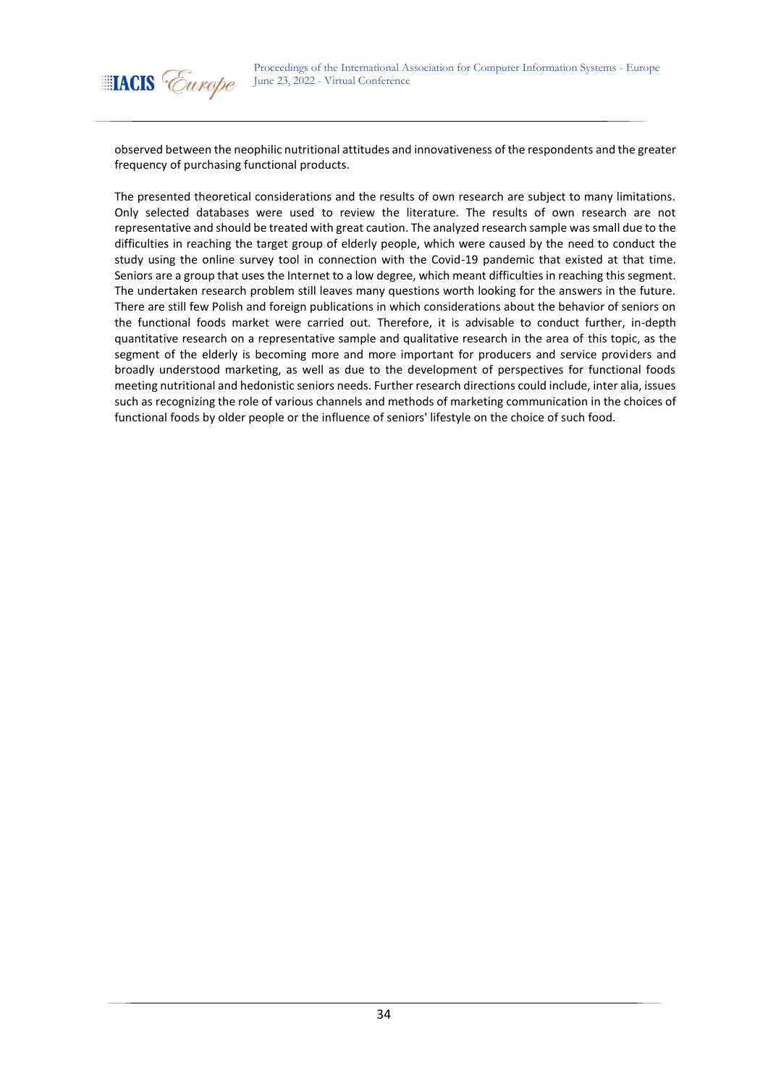

observed between the neophilic nutritional attitudes and innovativeness of the respondents and the greater frequency of purchasing functional products.

The presented theoretical considerations and the results of own research are subject to many limitations. Only selected databases were used to review the literature. The results of own research are not representative and should be treated with great caution. The analyzed research sample was small due to the difficulties in reaching the target group of elderly people, which were caused by the need to conduct the study using the online survey tool in connection with the Covid-19 pandemic that existed at that time. Seniors are a group that uses the Internet to a low degree, which meant difficulties in reaching this segment. The undertaken research problem still leaves many questions worth looking for the answers in the future. There are still few Polish and foreign publications in which considerations about the behavior of seniors on the functional foods market were carried out. Therefore, it is advisable to conduct further, in-depth quantitative research on a representative sample and qualitative research in the area of this topic, as the segment of the elderly is becoming more and more important for producers and service providers and broadly understood marketing, as well as due to the development of perspectives for functional foods meeting nutritional and hedonistic seniors needs. Further research directions could include, inter alia, issues such as recognizing the role of various channels and methods of marketing communication in the choices of functional foods by older people or the influence of seniors' lifestyle on the choice of such food.